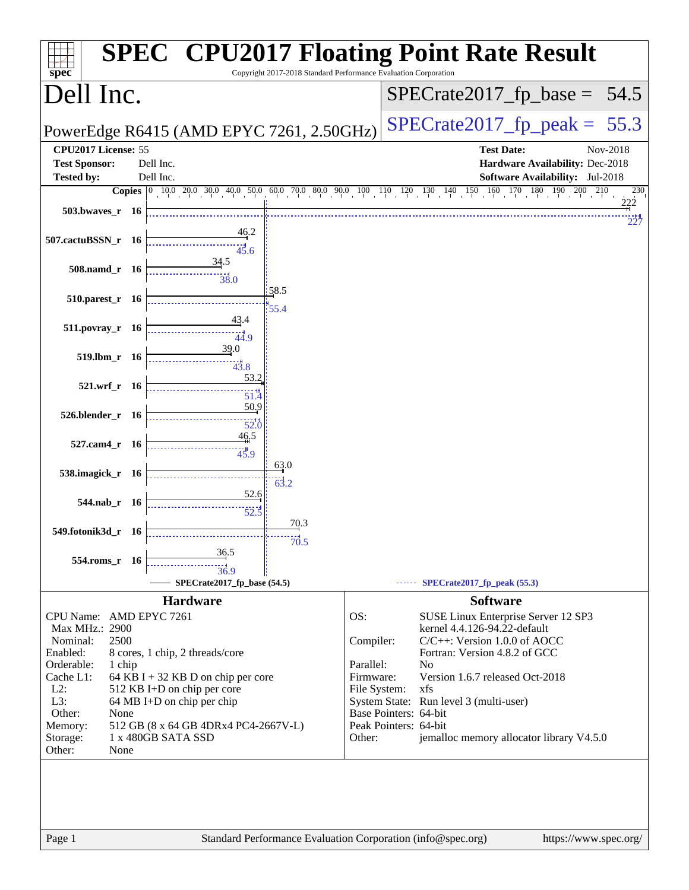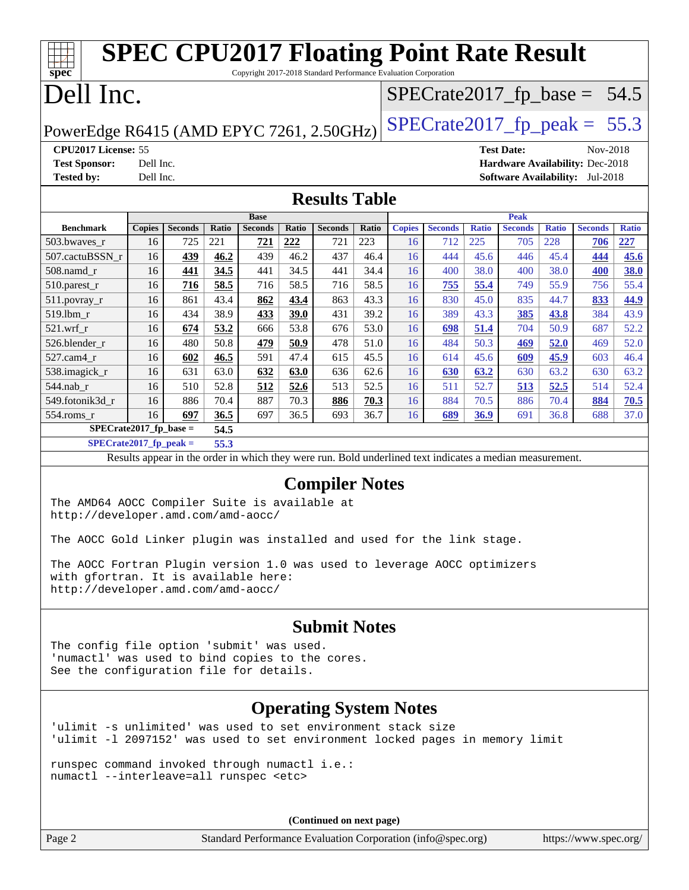| TTT T<br>$spec^*$                                                                                                                                                             |                                                                            |                |              |                |              | <b>SPEC CPU2017 Floating Point Rate Result</b><br>Copyright 2017-2018 Standard Performance Evaluation Corporation |              |               |                                |              |                                 |              |                       |              |
|-------------------------------------------------------------------------------------------------------------------------------------------------------------------------------|----------------------------------------------------------------------------|----------------|--------------|----------------|--------------|-------------------------------------------------------------------------------------------------------------------|--------------|---------------|--------------------------------|--------------|---------------------------------|--------------|-----------------------|--------------|
| Dell Inc.                                                                                                                                                                     |                                                                            |                |              |                |              |                                                                                                                   |              |               | $SPECTate2017_fp\_base = 54.5$ |              |                                 |              |                       |              |
|                                                                                                                                                                               | $SPECrate2017_fp\_peak = 55.3$<br>PowerEdge R6415 (AMD EPYC 7261, 2.50GHz) |                |              |                |              |                                                                                                                   |              |               |                                |              |                                 |              |                       |              |
| CPU2017 License: 55                                                                                                                                                           |                                                                            |                |              |                |              |                                                                                                                   |              |               |                                |              | <b>Test Date:</b>               |              | Nov-2018              |              |
| <b>Test Sponsor:</b>                                                                                                                                                          | Dell Inc.                                                                  |                |              |                |              |                                                                                                                   |              |               |                                |              | Hardware Availability: Dec-2018 |              |                       |              |
| <b>Tested by:</b>                                                                                                                                                             | Dell Inc.                                                                  |                |              |                |              |                                                                                                                   |              |               |                                |              | Software Availability: Jul-2018 |              |                       |              |
|                                                                                                                                                                               |                                                                            |                |              |                |              | <b>Results Table</b>                                                                                              |              |               |                                |              |                                 |              |                       |              |
|                                                                                                                                                                               |                                                                            |                |              | <b>Base</b>    |              |                                                                                                                   |              |               |                                |              | <b>Peak</b>                     |              |                       |              |
| <b>Benchmark</b>                                                                                                                                                              | <b>Copies</b>                                                              | <b>Seconds</b> | Ratio        | <b>Seconds</b> | Ratio        | <b>Seconds</b>                                                                                                    | Ratio        | <b>Copies</b> | <b>Seconds</b>                 | <b>Ratio</b> | <b>Seconds</b>                  | <b>Ratio</b> | <b>Seconds</b>        | <b>Ratio</b> |
| 503.bwaves_r                                                                                                                                                                  | 16                                                                         | 725            | 221          | <u>721</u>     | 222          | 721                                                                                                               | 223          | 16            | 712                            | 225          | 705                             | 228          | 706                   | 227          |
| 507.cactuBSSN_r                                                                                                                                                               | 16                                                                         | 439            | 46.2         | 439            | 46.2         | 437                                                                                                               | 46.4         | 16            | 444                            | 45.6         | 446                             | 45.4         | 444                   | 45.6         |
| 508.namd_r                                                                                                                                                                    | 16                                                                         | 441            | 34.5         | 441            | 34.5         | 441                                                                                                               | 34.4         | 16            | 400                            | 38.0         | 400                             | 38.0         | 400                   | 38.0         |
| 510.parest_r                                                                                                                                                                  | 16                                                                         | <u>716</u>     | 58.5         | 716            | 58.5         | 716                                                                                                               | 58.5         | 16            | 755                            | 55.4         | 749                             | 55.9         | 756                   | 55.4         |
| $511.povray_r$                                                                                                                                                                | 16                                                                         | 861            | 43.4         | 862            | 43.4         | 863                                                                                                               | 43.3         | 16            | 830                            | 45.0         | 835                             | 44.7         | 833                   | 44.9         |
| 519.1bm_r                                                                                                                                                                     | 16                                                                         | 434            | 38.9         | 433            | 39.0         | 431                                                                                                               | 39.2         | 16            | 389                            | 43.3         | 385                             | 43.8         | 384                   | 43.9         |
| $521.wrf_r$                                                                                                                                                                   | 16                                                                         | 674            | 53.2         | 666            | 53.8         | 676                                                                                                               | 53.0         | 16            | 698                            | 51.4         | 704                             | 50.9         | 687                   | 52.2         |
| 526.blender_r                                                                                                                                                                 | 16                                                                         | 480            | 50.8         | <u>479</u>     | <u>50.9</u>  | 478                                                                                                               | 51.0<br>45.5 | 16            | 484                            | 50.3         | 469                             | 52.0         | 469                   | 52.0         |
| 527.cam4_r                                                                                                                                                                    | 16                                                                         | 602            | 46.5         | 591            | 47.4         | 615                                                                                                               |              | 16            | 614                            | 45.6         | 609                             | 45.9         | 603                   | 46.4         |
| 538.imagick_r<br>544.nab_r                                                                                                                                                    | 16<br>16                                                                   | 631<br>510     | 63.0<br>52.8 | 632<br>512     | 63.0<br>52.6 | 636<br>513                                                                                                        | 62.6<br>52.5 | 16<br>16      | 630<br>511                     | 63.2<br>52.7 | 630<br>513                      | 63.2<br>52.5 | 630<br>514            | 63.2<br>52.4 |
| 549.fotonik3d_r                                                                                                                                                               | 16                                                                         | 886            | 70.4         | 887            | 70.3         | 886                                                                                                               | 70.3         | 16            | 884                            | 70.5         | 886                             | 70.4         | 884                   | 70.5         |
| 554.roms_r                                                                                                                                                                    | 16                                                                         | 697            | 36.5         | 697            | 36.5         | 693                                                                                                               | 36.7         | 16            | 689                            | <u>36.9</u>  | 691                             | 36.8         | 688                   | 37.0         |
| $SPECrate2017_fp\_base =$                                                                                                                                                     |                                                                            |                | 54.5         |                |              |                                                                                                                   |              |               |                                |              |                                 |              |                       |              |
| $SPECrate2017_fp\_peak =$                                                                                                                                                     |                                                                            |                | 55.3         |                |              |                                                                                                                   |              |               |                                |              |                                 |              |                       |              |
|                                                                                                                                                                               |                                                                            |                |              |                |              | Results appear in the order in which they were run. Bold underlined text indicates a median measurement.          |              |               |                                |              |                                 |              |                       |              |
| <b>Compiler Notes</b><br>The AMD64 AOCC Compiler Suite is available at<br>http://developer.amd.com/amd-aocc/                                                                  |                                                                            |                |              |                |              |                                                                                                                   |              |               |                                |              |                                 |              |                       |              |
| The AOCC Gold Linker plugin was installed and used for the link stage                                                                                                         |                                                                            |                |              |                |              |                                                                                                                   |              |               |                                |              |                                 |              |                       |              |
| The AOCC Fortran Plugin version 1.0 was used to leverage AOCC optimizers<br>with gfortran. It is available here:<br>http://developer.amd.com/amd-aocc/                        |                                                                            |                |              |                |              |                                                                                                                   |              |               |                                |              |                                 |              |                       |              |
|                                                                                                                                                                               |                                                                            |                |              |                |              | <b>Submit Notes</b>                                                                                               |              |               |                                |              |                                 |              |                       |              |
| The config file option 'submit' was used.<br>'numactl' was used to bind copies to the cores.<br>See the configuration file for details.                                       |                                                                            |                |              |                |              |                                                                                                                   |              |               |                                |              |                                 |              |                       |              |
| <b>Operating System Notes</b><br>'ulimit -s unlimited' was used to set environment stack size<br>'ulimit -1 2097152' was used to set environment locked pages in memory limit |                                                                            |                |              |                |              |                                                                                                                   |              |               |                                |              |                                 |              |                       |              |
| runspec command invoked through numactl i.e.:<br>numactl --interleave=all runspec <etc></etc>                                                                                 |                                                                            |                |              |                |              |                                                                                                                   |              |               |                                |              |                                 |              |                       |              |
|                                                                                                                                                                               | (Continued on next page)                                                   |                |              |                |              |                                                                                                                   |              |               |                                |              |                                 |              |                       |              |
| Page 2                                                                                                                                                                        |                                                                            |                |              |                |              | Standard Performance Evaluation Corporation (info@spec.org)                                                       |              |               |                                |              |                                 |              | https://www.spec.org/ |              |
|                                                                                                                                                                               |                                                                            |                |              |                |              |                                                                                                                   |              |               |                                |              |                                 |              |                       |              |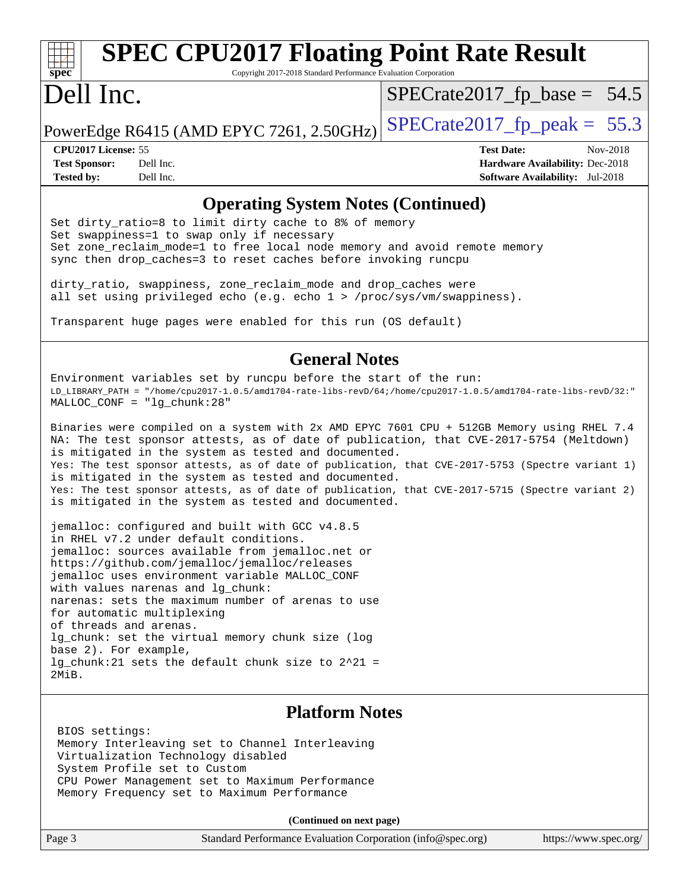# **[spec](http://www.spec.org/)**

# **[SPEC CPU2017 Floating Point Rate Result](http://www.spec.org/auto/cpu2017/Docs/result-fields.html#SPECCPU2017FloatingPointRateResult)**

Copyright 2017-2018 Standard Performance Evaluation Corporation

### Dell Inc.

 $SPECrate2017_fp\_base = 54.5$ 

PowerEdge R6415 (AMD EPYC 7261, 2.50GHz) SPECrate  $2017$  fp peak = 55.3

**[CPU2017 License:](http://www.spec.org/auto/cpu2017/Docs/result-fields.html#CPU2017License)** 55 **[Test Date:](http://www.spec.org/auto/cpu2017/Docs/result-fields.html#TestDate)** Nov-2018 **[Test Sponsor:](http://www.spec.org/auto/cpu2017/Docs/result-fields.html#TestSponsor)** Dell Inc. **[Hardware Availability:](http://www.spec.org/auto/cpu2017/Docs/result-fields.html#HardwareAvailability)** Dec-2018 **[Tested by:](http://www.spec.org/auto/cpu2017/Docs/result-fields.html#Testedby)** Dell Inc. **[Software Availability:](http://www.spec.org/auto/cpu2017/Docs/result-fields.html#SoftwareAvailability)** Jul-2018

### **[Operating System Notes \(Continued\)](http://www.spec.org/auto/cpu2017/Docs/result-fields.html#OperatingSystemNotes)**

Set dirty\_ratio=8 to limit dirty cache to 8% of memory Set swappiness=1 to swap only if necessary Set zone\_reclaim\_mode=1 to free local node memory and avoid remote memory sync then drop\_caches=3 to reset caches before invoking runcpu

dirty\_ratio, swappiness, zone\_reclaim\_mode and drop\_caches were all set using privileged echo (e.g. echo 1 > /proc/sys/vm/swappiness).

Transparent huge pages were enabled for this run (OS default)

### **[General Notes](http://www.spec.org/auto/cpu2017/Docs/result-fields.html#GeneralNotes)**

Environment variables set by runcpu before the start of the run: LD\_LIBRARY\_PATH = "/home/cpu2017-1.0.5/amd1704-rate-libs-revD/64;/home/cpu2017-1.0.5/amd1704-rate-libs-revD/32:" MALLOC\_CONF = "lg\_chunk:28"

Binaries were compiled on a system with 2x AMD EPYC 7601 CPU + 512GB Memory using RHEL 7.4 NA: The test sponsor attests, as of date of publication, that CVE-2017-5754 (Meltdown) is mitigated in the system as tested and documented. Yes: The test sponsor attests, as of date of publication, that CVE-2017-5753 (Spectre variant 1) is mitigated in the system as tested and documented. Yes: The test sponsor attests, as of date of publication, that CVE-2017-5715 (Spectre variant 2) is mitigated in the system as tested and documented.

jemalloc: configured and built with GCC v4.8.5 in RHEL v7.2 under default conditions. jemalloc: sources available from jemalloc.net or <https://github.com/jemalloc/jemalloc/releases> jemalloc uses environment variable MALLOC\_CONF with values narenas and lg\_chunk: narenas: sets the maximum number of arenas to use for automatic multiplexing of threads and arenas. lg chunk: set the virtual memory chunk size (log base 2). For example, lg\_chunk:21 sets the default chunk size to 2^21 = 2MiB.

### **[Platform Notes](http://www.spec.org/auto/cpu2017/Docs/result-fields.html#PlatformNotes)**

 BIOS settings: Memory Interleaving set to Channel Interleaving Virtualization Technology disabled System Profile set to Custom CPU Power Management set to Maximum Performance Memory Frequency set to Maximum Performance

**(Continued on next page)**

| Page 3 | Standard Performance Evaluation Corporation (info@spec.org) | https://www.spec.org/ |
|--------|-------------------------------------------------------------|-----------------------|
|--------|-------------------------------------------------------------|-----------------------|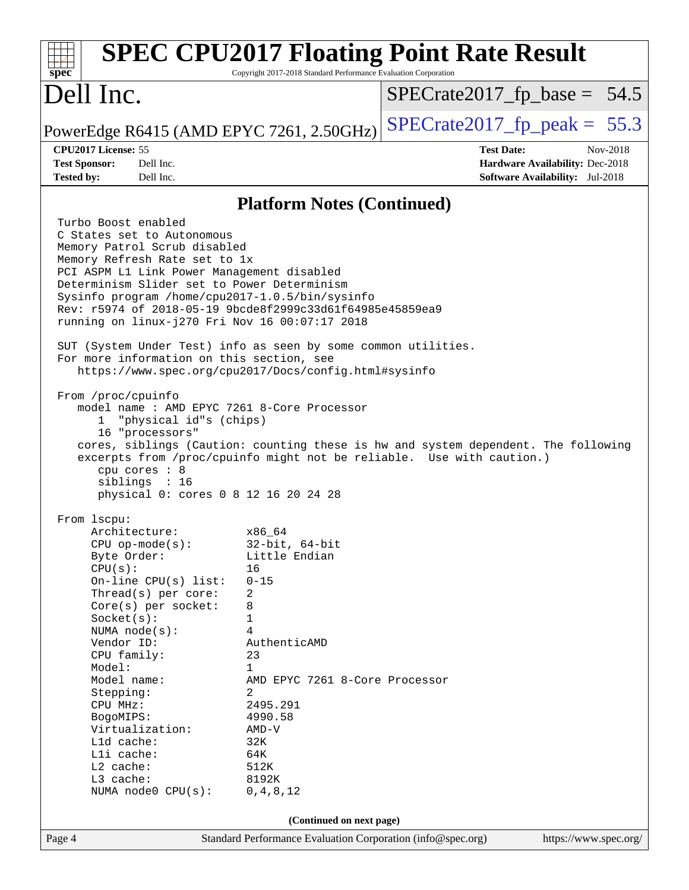| <b>SPEC CPU2017 Floating Point Rate Result</b><br>$spec^*$<br>Copyright 2017-2018 Standard Performance Evaluation Corporation                                                                                                                                                                                                                                                                                                                       |                                                                                                                                                                                                                                         |                                                                                                                                                             |  |  |  |  |
|-----------------------------------------------------------------------------------------------------------------------------------------------------------------------------------------------------------------------------------------------------------------------------------------------------------------------------------------------------------------------------------------------------------------------------------------------------|-----------------------------------------------------------------------------------------------------------------------------------------------------------------------------------------------------------------------------------------|-------------------------------------------------------------------------------------------------------------------------------------------------------------|--|--|--|--|
| Dell Inc.                                                                                                                                                                                                                                                                                                                                                                                                                                           |                                                                                                                                                                                                                                         | $SPECrate2017_fp\_base = 54.5$                                                                                                                              |  |  |  |  |
| PowerEdge R6415 (AMD EPYC 7261, 2.50GHz)                                                                                                                                                                                                                                                                                                                                                                                                            |                                                                                                                                                                                                                                         | $SPECrate2017_fp\_peak = 55.3$                                                                                                                              |  |  |  |  |
| CPU2017 License: 55<br><b>Test Sponsor:</b><br>Dell Inc.<br><b>Tested by:</b><br>Dell Inc.                                                                                                                                                                                                                                                                                                                                                          |                                                                                                                                                                                                                                         | <b>Test Date:</b><br>Nov-2018<br><b>Hardware Availability: Dec-2018</b><br><b>Software Availability:</b> Jul-2018                                           |  |  |  |  |
| <b>Platform Notes (Continued)</b>                                                                                                                                                                                                                                                                                                                                                                                                                   |                                                                                                                                                                                                                                         |                                                                                                                                                             |  |  |  |  |
| Turbo Boost enabled<br>C States set to Autonomous<br>Memory Patrol Scrub disabled<br>Memory Refresh Rate set to 1x<br>PCI ASPM L1 Link Power Management disabled<br>Determinism Slider set to Power Determinism<br>Sysinfo program /home/cpu2017-1.0.5/bin/sysinfo<br>Rev: r5974 of 2018-05-19 9bcde8f2999c33d61f64985e45859ea9<br>running on linux-j270 Fri Nov 16 00:07:17 2018<br>SUT (System Under Test) info as seen by some common utilities. |                                                                                                                                                                                                                                         |                                                                                                                                                             |  |  |  |  |
| For more information on this section, see<br>https://www.spec.org/cpu2017/Docs/config.html#sysinfo                                                                                                                                                                                                                                                                                                                                                  |                                                                                                                                                                                                                                         |                                                                                                                                                             |  |  |  |  |
| From /proc/cpuinfo<br>model name: AMD EPYC 7261 8-Core Processor<br>"physical id"s (chips)<br>ı.<br>16 "processors"<br>cpu cores : 8<br>siblings : 16<br>physical 0: cores 0 8 12 16 20 24 28                                                                                                                                                                                                                                                       |                                                                                                                                                                                                                                         | cores, siblings (Caution: counting these is hw and system dependent. The following<br>excerpts from /proc/cpuinfo might not be reliable. Use with caution.) |  |  |  |  |
| From 1scpu:<br>Architecture:<br>$CPU$ op-mode( $s$ ):<br>Byte Order:<br>CPU(s):<br>On-line CPU(s) list:<br>Thread(s) per core:<br>Core(s) per socket:<br>Socket(s):<br>NUMA $node(s)$ :<br>Vendor ID:<br>CPU family:<br>Model:<br>Model name:<br>Stepping:<br>CPU MHz:<br>BogoMIPS:<br>Virtualization:<br>Lld cache:<br>Lli cache:<br>L2 cache:<br>L3 cache:<br>NUMA $node0$ $CPU(s)$ :                                                             | x86 64<br>$32$ -bit, $64$ -bit<br>Little Endian<br>16<br>$0 - 15$<br>2<br>8<br>1<br>4<br>AuthenticAMD<br>23<br>1<br>AMD EPYC 7261 8-Core Processor<br>2<br>2495.291<br>4990.58<br>$AMD-V$<br>32K<br>64K<br>512K<br>8192K<br>0, 4, 8, 12 |                                                                                                                                                             |  |  |  |  |
| (Continued on next page)                                                                                                                                                                                                                                                                                                                                                                                                                            |                                                                                                                                                                                                                                         |                                                                                                                                                             |  |  |  |  |
| Page 4                                                                                                                                                                                                                                                                                                                                                                                                                                              | Standard Performance Evaluation Corporation (info@spec.org)                                                                                                                                                                             | https://www.spec.org/                                                                                                                                       |  |  |  |  |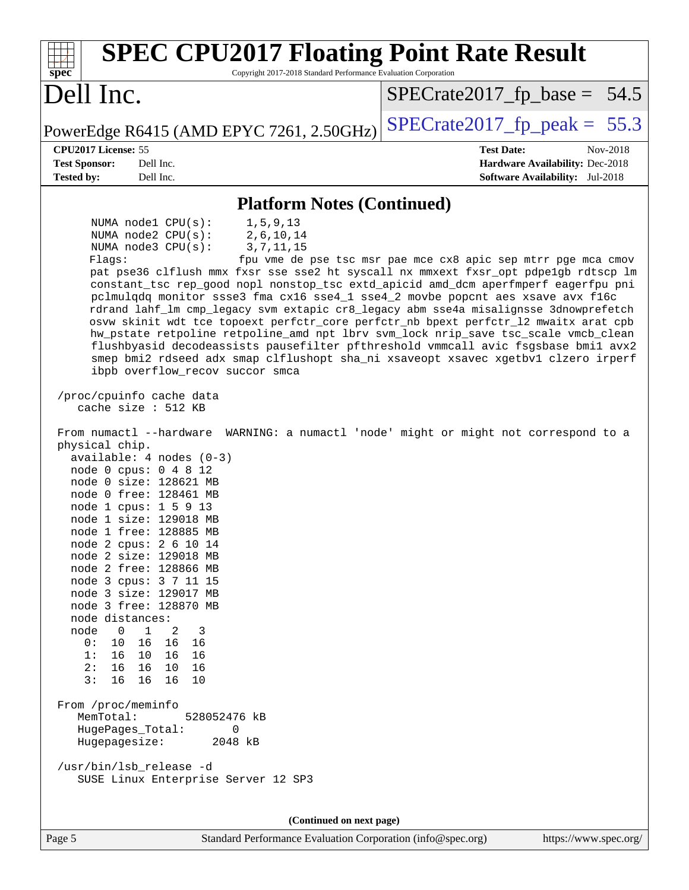| <b>SPEC CPU2017 Floating Point Rate Result</b><br>Copyright 2017-2018 Standard Performance Evaluation Corporation<br>spec <sup>®</sup>                                                                                                                                                                                                                                                                                                                                                                                                                                                                                                                                                                                                                                                                                                                                                                                                                                                                                                                                                                                                                                                                                                                                                                                                                                                                                                                                                                                                                                                                                                                                                                                                                               |                                                                  |
|----------------------------------------------------------------------------------------------------------------------------------------------------------------------------------------------------------------------------------------------------------------------------------------------------------------------------------------------------------------------------------------------------------------------------------------------------------------------------------------------------------------------------------------------------------------------------------------------------------------------------------------------------------------------------------------------------------------------------------------------------------------------------------------------------------------------------------------------------------------------------------------------------------------------------------------------------------------------------------------------------------------------------------------------------------------------------------------------------------------------------------------------------------------------------------------------------------------------------------------------------------------------------------------------------------------------------------------------------------------------------------------------------------------------------------------------------------------------------------------------------------------------------------------------------------------------------------------------------------------------------------------------------------------------------------------------------------------------------------------------------------------------|------------------------------------------------------------------|
| Dell Inc.                                                                                                                                                                                                                                                                                                                                                                                                                                                                                                                                                                                                                                                                                                                                                                                                                                                                                                                                                                                                                                                                                                                                                                                                                                                                                                                                                                                                                                                                                                                                                                                                                                                                                                                                                            | $SPECrate2017_fp\_base = 54.5$                                   |
| PowerEdge R6415 (AMD EPYC 7261, 2.50GHz)                                                                                                                                                                                                                                                                                                                                                                                                                                                                                                                                                                                                                                                                                                                                                                                                                                                                                                                                                                                                                                                                                                                                                                                                                                                                                                                                                                                                                                                                                                                                                                                                                                                                                                                             | $SPECrate2017_fp\_peak = 55.3$                                   |
| CPU2017 License: 55<br><b>Test Sponsor:</b><br>Dell Inc.                                                                                                                                                                                                                                                                                                                                                                                                                                                                                                                                                                                                                                                                                                                                                                                                                                                                                                                                                                                                                                                                                                                                                                                                                                                                                                                                                                                                                                                                                                                                                                                                                                                                                                             | <b>Test Date:</b><br>Nov-2018<br>Hardware Availability: Dec-2018 |
| <b>Tested by:</b><br>Dell Inc.                                                                                                                                                                                                                                                                                                                                                                                                                                                                                                                                                                                                                                                                                                                                                                                                                                                                                                                                                                                                                                                                                                                                                                                                                                                                                                                                                                                                                                                                                                                                                                                                                                                                                                                                       | <b>Software Availability:</b> Jul-2018                           |
| <b>Platform Notes (Continued)</b>                                                                                                                                                                                                                                                                                                                                                                                                                                                                                                                                                                                                                                                                                                                                                                                                                                                                                                                                                                                                                                                                                                                                                                                                                                                                                                                                                                                                                                                                                                                                                                                                                                                                                                                                    |                                                                  |
| NUMA nodel CPU(s):<br>1, 5, 9, 13<br>NUMA node2 CPU(s):<br>2,6,10,14<br>NUMA $node3$ $CPU(s)$ :<br>3, 7, 11, 15<br>Flagg:<br>pat pse36 clflush mmx fxsr sse sse2 ht syscall nx mmxext fxsr_opt pdpe1gb rdtscp lm<br>constant_tsc rep_good nopl nonstop_tsc extd_apicid amd_dcm aperfmperf eagerfpu pni<br>pclmulqdq monitor ssse3 fma cx16 sse4_1 sse4_2 movbe popcnt aes xsave avx f16c<br>rdrand lahf_lm cmp_legacy svm extapic cr8_legacy abm sse4a misalignsse 3dnowprefetch<br>osvw skinit wdt tce topoext perfctr_core perfctr_nb bpext perfctr_12 mwaitx arat cpb<br>hw_pstate retpoline retpoline_amd npt lbrv svm_lock nrip_save tsc_scale vmcb_clean<br>flushbyasid decodeassists pausefilter pfthreshold vmmcall avic fsgsbase bmil avx2<br>smep bmi2 rdseed adx smap clflushopt sha_ni xsaveopt xsavec xgetbvl clzero irperf<br>ibpb overflow_recov succor smca<br>/proc/cpuinfo cache data<br>cache size $: 512$ KB<br>From numactl --hardware WARNING: a numactl 'node' might or might not correspond to a<br>physical chip.<br>$available: 4 nodes (0-3)$<br>node 0 cpus: 0 4 8 12<br>node 0 size: 128621 MB<br>node 0 free: 128461 MB<br>node 1 cpus: 1 5 9 13<br>node 1 size: 129018 MB<br>node 1 free: 128885 MB<br>node 2 cpus: 2 6 10 14<br>node 2 size: 129018 MB<br>node 2 free: 128866 MB<br>node 3 cpus: 3 7 11 15<br>node 3 size: 129017 MB<br>node 3 free: 128870 MB<br>node distances:<br>2<br>node<br>$\overline{0}$<br>$\mathbf{1}$<br>3<br>10<br>16<br>16<br>0:<br>16<br>1:<br>16<br>10 16<br>16<br>2:<br>16<br>16<br>10<br>16<br>3:<br>16<br>16<br>16<br>10<br>From /proc/meminfo<br>MemTotal:<br>528052476 kB<br>HugePages_Total:<br>0<br>Hugepagesize:<br>2048 kB<br>/usr/bin/lsb_release -d<br>SUSE Linux Enterprise Server 12 SP3 | fpu vme de pse tsc msr pae mce cx8 apic sep mtrr pge mca cmov    |
| (Continued on next page)                                                                                                                                                                                                                                                                                                                                                                                                                                                                                                                                                                                                                                                                                                                                                                                                                                                                                                                                                                                                                                                                                                                                                                                                                                                                                                                                                                                                                                                                                                                                                                                                                                                                                                                                             |                                                                  |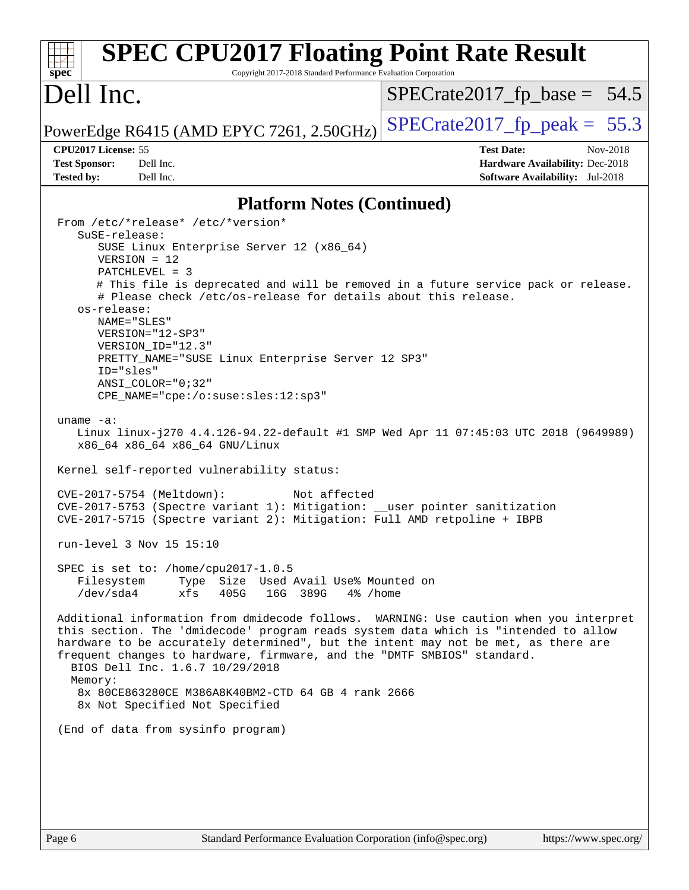| <b>SPEC CPU2017 Floating Point Rate Result</b><br>Copyright 2017-2018 Standard Performance Evaluation Corporation<br>$s\overline{p}\overline{e}\overline{c}$                                                                                                                                                                                                                                                                                                                                                                                                                                                                                                                                                                                                                                                                                                                                                                                                                                                                                                                                                                                                                                                                                                                                                                                                                                                                                                                                                                                                                                                              |                                                                                                                   |
|---------------------------------------------------------------------------------------------------------------------------------------------------------------------------------------------------------------------------------------------------------------------------------------------------------------------------------------------------------------------------------------------------------------------------------------------------------------------------------------------------------------------------------------------------------------------------------------------------------------------------------------------------------------------------------------------------------------------------------------------------------------------------------------------------------------------------------------------------------------------------------------------------------------------------------------------------------------------------------------------------------------------------------------------------------------------------------------------------------------------------------------------------------------------------------------------------------------------------------------------------------------------------------------------------------------------------------------------------------------------------------------------------------------------------------------------------------------------------------------------------------------------------------------------------------------------------------------------------------------------------|-------------------------------------------------------------------------------------------------------------------|
| Dell Inc.                                                                                                                                                                                                                                                                                                                                                                                                                                                                                                                                                                                                                                                                                                                                                                                                                                                                                                                                                                                                                                                                                                                                                                                                                                                                                                                                                                                                                                                                                                                                                                                                                 | $SPECrate2017_fp\_base = 54.5$                                                                                    |
| PowerEdge R6415 (AMD EPYC 7261, 2.50GHz)                                                                                                                                                                                                                                                                                                                                                                                                                                                                                                                                                                                                                                                                                                                                                                                                                                                                                                                                                                                                                                                                                                                                                                                                                                                                                                                                                                                                                                                                                                                                                                                  | $SPECTate2017_fp\_peak = 55.3$                                                                                    |
| CPU2017 License: 55<br><b>Test Sponsor:</b><br>Dell Inc.<br>Dell Inc.<br><b>Tested by:</b>                                                                                                                                                                                                                                                                                                                                                                                                                                                                                                                                                                                                                                                                                                                                                                                                                                                                                                                                                                                                                                                                                                                                                                                                                                                                                                                                                                                                                                                                                                                                | <b>Test Date:</b><br>Nov-2018<br><b>Hardware Availability: Dec-2018</b><br><b>Software Availability:</b> Jul-2018 |
| <b>Platform Notes (Continued)</b>                                                                                                                                                                                                                                                                                                                                                                                                                                                                                                                                                                                                                                                                                                                                                                                                                                                                                                                                                                                                                                                                                                                                                                                                                                                                                                                                                                                                                                                                                                                                                                                         |                                                                                                                   |
| From /etc/*release* /etc/*version*<br>SuSE-release:<br>SUSE Linux Enterprise Server 12 (x86_64)<br>$VERSION = 12$<br>$PATCHLEVEL = 3$<br># This file is deprecated and will be removed in a future service pack or release.<br># Please check /etc/os-release for details about this release.<br>os-release:<br>NAME="SLES"<br>VERSION="12-SP3"<br>VERSION ID="12.3"<br>PRETTY_NAME="SUSE Linux Enterprise Server 12 SP3"<br>ID="sles"<br>$ANSI$ _COLOR=" $0:32$ "<br>$CPE\_NAME = "cpe://o:suse: sles:12:sp3"$<br>uname $-a$ :<br>Linux linux-j270 4.4.126-94.22-default #1 SMP Wed Apr 11 07:45:03 UTC 2018 (9649989)<br>x86_64 x86_64 x86_64 GNU/Linux<br>Kernel self-reported vulnerability status:<br>CVE-2017-5754 (Meltdown):<br>Not affected<br>CVE-2017-5753 (Spectre variant 1): Mitigation: __user pointer sanitization<br>CVE-2017-5715 (Spectre variant 2): Mitigation: Full AMD retpoline + IBPB<br>run-level 3 Nov 15 15:10<br>SPEC is set to: /home/cpu2017-1.0.5<br>Filesystem<br>Type Size Used Avail Use% Mounted on<br>/dev/sda4<br>xfs<br>405G<br>16G 389G<br>4% /home<br>Additional information from dmidecode follows. WARNING: Use caution when you interpret<br>this section. The 'dmidecode' program reads system data which is "intended to allow<br>hardware to be accurately determined", but the intent may not be met, as there are<br>frequent changes to hardware, firmware, and the "DMTF SMBIOS" standard.<br>BIOS Dell Inc. 1.6.7 10/29/2018<br>Memory:<br>8x 80CE863280CE M386A8K40BM2-CTD 64 GB 4 rank 2666<br>8x Not Specified Not Specified<br>(End of data from sysinfo program) |                                                                                                                   |
|                                                                                                                                                                                                                                                                                                                                                                                                                                                                                                                                                                                                                                                                                                                                                                                                                                                                                                                                                                                                                                                                                                                                                                                                                                                                                                                                                                                                                                                                                                                                                                                                                           |                                                                                                                   |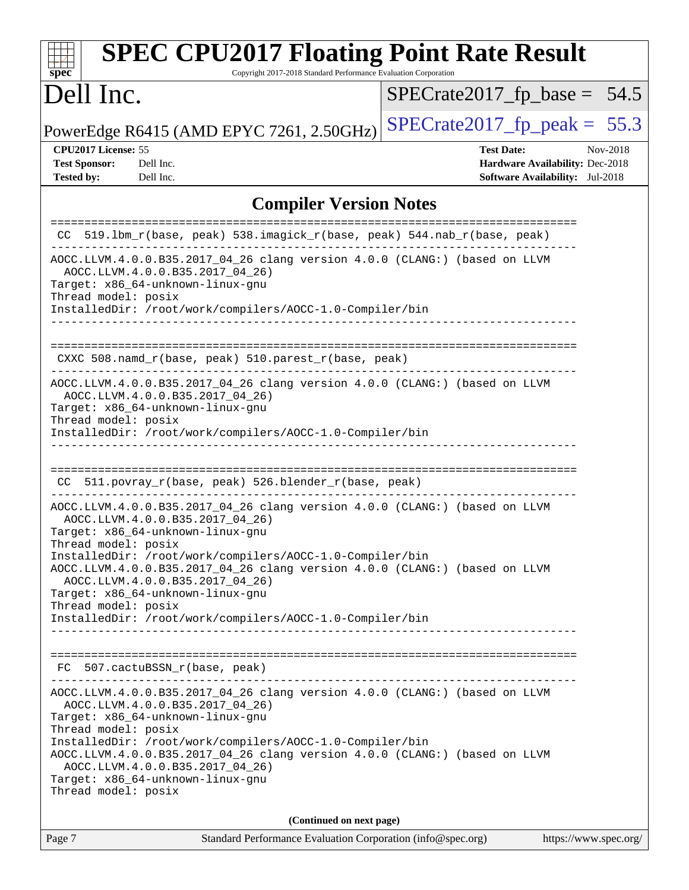| <b>SPEC CPU2017 Floating Point Rate Result</b><br>Copyright 2017-2018 Standard Performance Evaluation Corporation<br>$spec^*$                                                                                                                                                                                                                                                                                                  |                                                                                                     |
|--------------------------------------------------------------------------------------------------------------------------------------------------------------------------------------------------------------------------------------------------------------------------------------------------------------------------------------------------------------------------------------------------------------------------------|-----------------------------------------------------------------------------------------------------|
| Dell Inc.                                                                                                                                                                                                                                                                                                                                                                                                                      | $SPECrate2017_fp\_base = 54.5$                                                                      |
| PowerEdge R6415 (AMD EPYC 7261, 2.50GHz)                                                                                                                                                                                                                                                                                                                                                                                       | $SPECrate2017_fp\_peak = 55.3$                                                                      |
| CPU2017 License: 55<br><b>Test Sponsor:</b><br>Dell Inc.<br><b>Tested by:</b><br>Dell Inc.                                                                                                                                                                                                                                                                                                                                     | <b>Test Date:</b><br>Nov-2018<br>Hardware Availability: Dec-2018<br>Software Availability: Jul-2018 |
| <b>Compiler Version Notes</b>                                                                                                                                                                                                                                                                                                                                                                                                  |                                                                                                     |
| 519.1bm_r(base, peak) 538.imagick_r(base, peak) 544.nab_r(base, peak)                                                                                                                                                                                                                                                                                                                                                          |                                                                                                     |
| AOCC.LLVM.4.0.0.B35.2017_04_26 clang version 4.0.0 (CLANG:) (based on LLVM<br>AOCC.LLVM.4.0.0.B35.2017_04_26)<br>Target: x86_64-unknown-linux-gnu<br>Thread model: posix<br>InstalledDir: /root/work/compilers/AOCC-1.0-Compiler/bin                                                                                                                                                                                           |                                                                                                     |
| CXXC 508.namd_r(base, peak) 510.parest_r(base, peak)                                                                                                                                                                                                                                                                                                                                                                           |                                                                                                     |
| AOCC.LLVM.4.0.0.B35.2017_04_26 clang version 4.0.0 (CLANG:) (based on LLVM<br>AOCC.LLVM.4.0.0.B35.2017_04_26)<br>Target: x86_64-unknown-linux-gnu<br>Thread model: posix<br>InstalledDir: /root/work/compilers/AOCC-1.0-Compiler/bin                                                                                                                                                                                           |                                                                                                     |
| CC 511.povray_r(base, peak) 526.blender_r(base, peak)                                                                                                                                                                                                                                                                                                                                                                          |                                                                                                     |
| AOCC.LLVM.4.0.0.B35.2017_04_26 clang version 4.0.0 (CLANG:) (based on LLVM<br>AOCC.LLVM.4.0.0.B35.2017 04 26)<br>Target: x86_64-unknown-linux-gnu<br>Thread model: posix                                                                                                                                                                                                                                                       |                                                                                                     |
| InstalledDir: /root/work/compilers/AOCC-1.0-Compiler/bin<br>AOCC.LLVM.4.0.0.B35.2017_04_26 clang version 4.0.0 (CLANG:) (based on LLVM<br>AOCC.LLVM.4.0.0.B35.2017_04_26)<br>Target: x86_64-unknown-linux-gnu<br>Thread model: posix<br>InstalledDir: /root/work/compilers/AOCC-1.0-Compiler/bin                                                                                                                               |                                                                                                     |
| FC 507.cactuBSSN_r(base, peak)                                                                                                                                                                                                                                                                                                                                                                                                 |                                                                                                     |
| _________________________________<br>AOCC.LLVM.4.0.0.B35.2017_04_26 clang version 4.0.0 (CLANG:) (based on LLVM<br>AOCC.LLVM.4.0.0.B35.2017_04_26)<br>Target: x86_64-unknown-linux-gnu<br>Thread model: posix<br>InstalledDir: /root/work/compilers/AOCC-1.0-Compiler/bin<br>AOCC.LLVM.4.0.0.B35.2017_04_26 clang version 4.0.0 (CLANG:) (based on LLVM<br>AOCC.LLVM.4.0.0.B35.2017_04_26)<br>Target: x86_64-unknown-linux-gnu |                                                                                                     |
| Thread model: posix                                                                                                                                                                                                                                                                                                                                                                                                            |                                                                                                     |
| (Continued on next page)<br>Page 7<br>Standard Performance Evaluation Corporation (info@spec.org)                                                                                                                                                                                                                                                                                                                              | https://www.spec.org/                                                                               |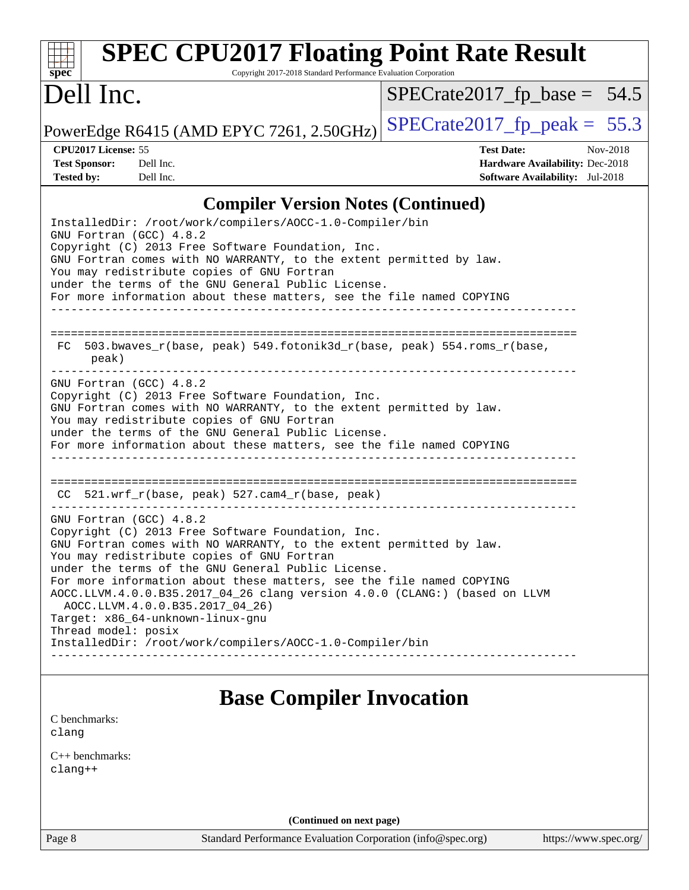| <b>SPEC CPU2017 Floating Point Rate Result</b><br>Spec<br>Copyright 2017-2018 Standard Performance Evaluation Corporation                                                                                                                                                                                                                                                                                                                                                                                                                                                                               |                                                                                                                   |  |  |  |  |
|---------------------------------------------------------------------------------------------------------------------------------------------------------------------------------------------------------------------------------------------------------------------------------------------------------------------------------------------------------------------------------------------------------------------------------------------------------------------------------------------------------------------------------------------------------------------------------------------------------|-------------------------------------------------------------------------------------------------------------------|--|--|--|--|
| Dell Inc.                                                                                                                                                                                                                                                                                                                                                                                                                                                                                                                                                                                               | $SPECrate2017_fp\_base = 54.5$                                                                                    |  |  |  |  |
| PowerEdge R6415 (AMD EPYC 7261, 2.50GHz)                                                                                                                                                                                                                                                                                                                                                                                                                                                                                                                                                                | $SPECrate2017fp peak = 55.3$                                                                                      |  |  |  |  |
| CPU2017 License: 55<br><b>Test Sponsor:</b><br>Dell Inc.<br><b>Tested by:</b><br>Dell Inc.                                                                                                                                                                                                                                                                                                                                                                                                                                                                                                              | <b>Test Date:</b><br>Nov-2018<br><b>Hardware Availability: Dec-2018</b><br><b>Software Availability:</b> Jul-2018 |  |  |  |  |
| <b>Compiler Version Notes (Continued)</b>                                                                                                                                                                                                                                                                                                                                                                                                                                                                                                                                                               |                                                                                                                   |  |  |  |  |
| InstalledDir: /root/work/compilers/AOCC-1.0-Compiler/bin<br>GNU Fortran (GCC) 4.8.2<br>Copyright (C) 2013 Free Software Foundation, Inc.<br>GNU Fortran comes with NO WARRANTY, to the extent permitted by law.<br>You may redistribute copies of GNU Fortran<br>under the terms of the GNU General Public License.<br>For more information about these matters, see the file named COPYING                                                                                                                                                                                                             |                                                                                                                   |  |  |  |  |
| 503.bwaves_r(base, peak) 549.fotonik3d_r(base, peak) 554.roms_r(base,<br>FC.<br>peak)                                                                                                                                                                                                                                                                                                                                                                                                                                                                                                                   |                                                                                                                   |  |  |  |  |
| GNU Fortran (GCC) 4.8.2<br>Copyright (C) 2013 Free Software Foundation, Inc.<br>GNU Fortran comes with NO WARRANTY, to the extent permitted by law.<br>You may redistribute copies of GNU Fortran<br>under the terms of the GNU General Public License.<br>For more information about these matters, see the file named COPYING                                                                                                                                                                                                                                                                         |                                                                                                                   |  |  |  |  |
| CC 521.wrf_r(base, peak) 527.cam4_r(base, peak)                                                                                                                                                                                                                                                                                                                                                                                                                                                                                                                                                         |                                                                                                                   |  |  |  |  |
| ____________________________<br>GNU Fortran (GCC) 4.8.2<br>Copyright (C) 2013 Free Software Foundation, Inc.<br>GNU Fortran comes with NO WARRANTY, to the extent permitted by law.<br>You may redistribute copies of GNU Fortran<br>under the terms of the GNU General Public License.<br>For more information about these matters, see the file named COPYING<br>AOCC.LLVM.4.0.0.B35.2017_04_26 clang version 4.0.0 (CLANG:) (based on LLVM<br>AOCC.LLVM.4.0.0.B35.2017_04_26)<br>Target: x86_64-unknown-linux-gnu<br>Thread model: posix<br>InstalledDir: /root/work/compilers/AOCC-1.0-Compiler/bin |                                                                                                                   |  |  |  |  |
| <b>Base Compiler Invocation</b>                                                                                                                                                                                                                                                                                                                                                                                                                                                                                                                                                                         |                                                                                                                   |  |  |  |  |
| C benchmarks:<br>clang                                                                                                                                                                                                                                                                                                                                                                                                                                                                                                                                                                                  |                                                                                                                   |  |  |  |  |
| $C_{++}$ benchmarks:<br>clang++                                                                                                                                                                                                                                                                                                                                                                                                                                                                                                                                                                         |                                                                                                                   |  |  |  |  |

**(Continued on next page)**

Page 8 Standard Performance Evaluation Corporation [\(info@spec.org\)](mailto:info@spec.org) <https://www.spec.org/>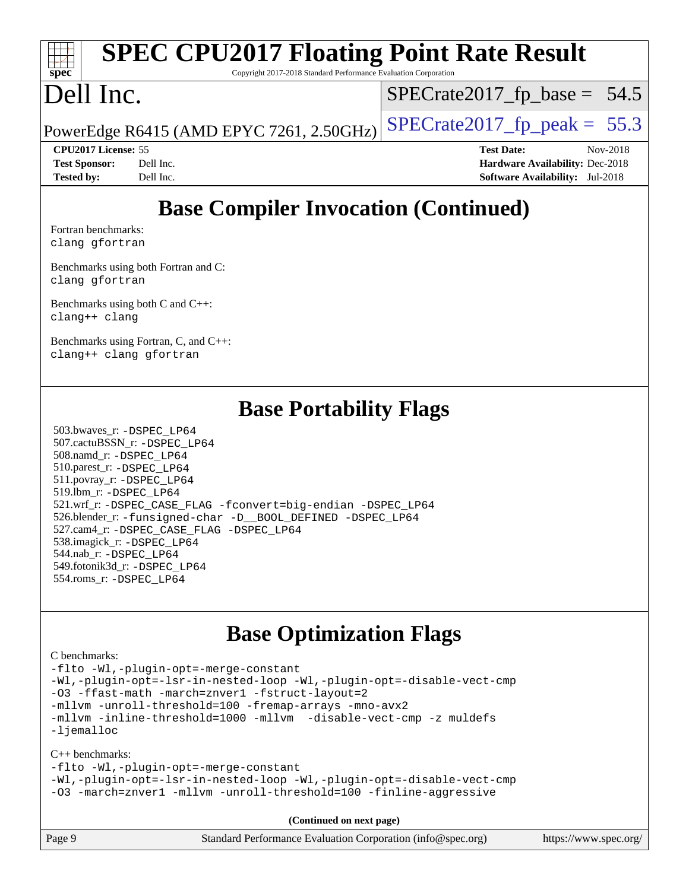### **[spec](http://www.spec.org/) [SPEC CPU2017 Floating Point Rate Result](http://www.spec.org/auto/cpu2017/Docs/result-fields.html#SPECCPU2017FloatingPointRateResult)**

Copyright 2017-2018 Standard Performance Evaluation Corporation

## Dell Inc.

 $SPECTate2017_fp\_base = 54.5$ 

PowerEdge R6415 (AMD EPYC 7261, 2.50GHz)  $\left|$  [SPECrate2017\\_fp\\_peak =](http://www.spec.org/auto/cpu2017/Docs/result-fields.html#SPECrate2017fppeak) 55.3

**[CPU2017 License:](http://www.spec.org/auto/cpu2017/Docs/result-fields.html#CPU2017License)** 55 **[Test Date:](http://www.spec.org/auto/cpu2017/Docs/result-fields.html#TestDate)** Nov-2018 **[Test Sponsor:](http://www.spec.org/auto/cpu2017/Docs/result-fields.html#TestSponsor)** Dell Inc. **[Hardware Availability:](http://www.spec.org/auto/cpu2017/Docs/result-fields.html#HardwareAvailability)** Dec-2018 **[Tested by:](http://www.spec.org/auto/cpu2017/Docs/result-fields.html#Testedby)** Dell Inc. **[Software Availability:](http://www.spec.org/auto/cpu2017/Docs/result-fields.html#SoftwareAvailability)** Jul-2018

## **[Base Compiler Invocation \(Continued\)](http://www.spec.org/auto/cpu2017/Docs/result-fields.html#BaseCompilerInvocation)**

[Fortran benchmarks](http://www.spec.org/auto/cpu2017/Docs/result-fields.html#Fortranbenchmarks): [clang](http://www.spec.org/cpu2017/results/res2018q4/cpu2017-20181126-09827.flags.html#user_FCbase_Fclang3_a68b77bfed473bd9cdd22529af008e8306c2e3948617c8991604c1a2000ee4a73ef90dd8bc793e105fe4165a625d26dacbda4708d828ad19048918c071b363ec) [gfortran](http://www.spec.org/cpu2017/results/res2018q4/cpu2017-20181126-09827.flags.html#user_FCbase_aocc-gfortran_128c91a56d61ddb07404721e65b8f9498c31a443dacbd3b7f212891090eca86e2d099b520f75b99e9e8ac4fdec01f4d15f0b65e47123ec4c42b0759045731a1f)

[Benchmarks using both Fortran and C](http://www.spec.org/auto/cpu2017/Docs/result-fields.html#BenchmarksusingbothFortranandC): [clang](http://www.spec.org/cpu2017/results/res2018q4/cpu2017-20181126-09827.flags.html#user_CC_FCbase_Fclang3_a68b77bfed473bd9cdd22529af008e8306c2e3948617c8991604c1a2000ee4a73ef90dd8bc793e105fe4165a625d26dacbda4708d828ad19048918c071b363ec) [gfortran](http://www.spec.org/cpu2017/results/res2018q4/cpu2017-20181126-09827.flags.html#user_CC_FCbase_aocc-gfortran_128c91a56d61ddb07404721e65b8f9498c31a443dacbd3b7f212891090eca86e2d099b520f75b99e9e8ac4fdec01f4d15f0b65e47123ec4c42b0759045731a1f)

[Benchmarks using both C and C++](http://www.spec.org/auto/cpu2017/Docs/result-fields.html#BenchmarksusingbothCandCXX): [clang++](http://www.spec.org/cpu2017/results/res2018q4/cpu2017-20181126-09827.flags.html#user_CC_CXXbase_Fclang3_57a48582e5be507d19b2527b3e7d4f85d9b8669ffc9a8a0dbb9bcf949a918a58bbab411e0c4d14a3922022a3e425a90db94042683824c1806feff4324ca1000d) [clang](http://www.spec.org/cpu2017/results/res2018q4/cpu2017-20181126-09827.flags.html#user_CC_CXXbase_Fclang3_a68b77bfed473bd9cdd22529af008e8306c2e3948617c8991604c1a2000ee4a73ef90dd8bc793e105fe4165a625d26dacbda4708d828ad19048918c071b363ec)

[Benchmarks using Fortran, C, and C++:](http://www.spec.org/auto/cpu2017/Docs/result-fields.html#BenchmarksusingFortranCandCXX) [clang++](http://www.spec.org/cpu2017/results/res2018q4/cpu2017-20181126-09827.flags.html#user_CC_CXX_FCbase_Fclang3_57a48582e5be507d19b2527b3e7d4f85d9b8669ffc9a8a0dbb9bcf949a918a58bbab411e0c4d14a3922022a3e425a90db94042683824c1806feff4324ca1000d) [clang](http://www.spec.org/cpu2017/results/res2018q4/cpu2017-20181126-09827.flags.html#user_CC_CXX_FCbase_Fclang3_a68b77bfed473bd9cdd22529af008e8306c2e3948617c8991604c1a2000ee4a73ef90dd8bc793e105fe4165a625d26dacbda4708d828ad19048918c071b363ec) [gfortran](http://www.spec.org/cpu2017/results/res2018q4/cpu2017-20181126-09827.flags.html#user_CC_CXX_FCbase_aocc-gfortran_128c91a56d61ddb07404721e65b8f9498c31a443dacbd3b7f212891090eca86e2d099b520f75b99e9e8ac4fdec01f4d15f0b65e47123ec4c42b0759045731a1f)

### **[Base Portability Flags](http://www.spec.org/auto/cpu2017/Docs/result-fields.html#BasePortabilityFlags)**

 503.bwaves\_r: [-DSPEC\\_LP64](http://www.spec.org/cpu2017/results/res2018q4/cpu2017-20181126-09827.flags.html#suite_baseEXTRA_PORTABILITY503_bwaves_r_DSPEC_LP64) 507.cactuBSSN\_r: [-DSPEC\\_LP64](http://www.spec.org/cpu2017/results/res2018q4/cpu2017-20181126-09827.flags.html#suite_baseEXTRA_PORTABILITY507_cactuBSSN_r_DSPEC_LP64) 508.namd\_r: [-DSPEC\\_LP64](http://www.spec.org/cpu2017/results/res2018q4/cpu2017-20181126-09827.flags.html#suite_baseEXTRA_PORTABILITY508_namd_r_DSPEC_LP64) 510.parest\_r: [-DSPEC\\_LP64](http://www.spec.org/cpu2017/results/res2018q4/cpu2017-20181126-09827.flags.html#suite_baseEXTRA_PORTABILITY510_parest_r_DSPEC_LP64) 511.povray\_r: [-DSPEC\\_LP64](http://www.spec.org/cpu2017/results/res2018q4/cpu2017-20181126-09827.flags.html#suite_baseEXTRA_PORTABILITY511_povray_r_DSPEC_LP64) 519.lbm\_r: [-DSPEC\\_LP64](http://www.spec.org/cpu2017/results/res2018q4/cpu2017-20181126-09827.flags.html#suite_baseEXTRA_PORTABILITY519_lbm_r_DSPEC_LP64) 521.wrf\_r: [-DSPEC\\_CASE\\_FLAG](http://www.spec.org/cpu2017/results/res2018q4/cpu2017-20181126-09827.flags.html#b521.wrf_r_baseCPORTABILITY_DSPEC_CASE_FLAG) [-fconvert=big-endian](http://www.spec.org/cpu2017/results/res2018q4/cpu2017-20181126-09827.flags.html#user_baseFPORTABILITY521_wrf_r_F-fconvert) [-DSPEC\\_LP64](http://www.spec.org/cpu2017/results/res2018q4/cpu2017-20181126-09827.flags.html#suite_baseEXTRA_PORTABILITY521_wrf_r_DSPEC_LP64) 526.blender\_r: [-funsigned-char](http://www.spec.org/cpu2017/results/res2018q4/cpu2017-20181126-09827.flags.html#user_baseCPORTABILITY526_blender_r_F-funsigned-char) [-D\\_\\_BOOL\\_DEFINED](http://www.spec.org/cpu2017/results/res2018q4/cpu2017-20181126-09827.flags.html#b526.blender_r_baseCXXPORTABILITY_D__BOOL_DEFINED) [-DSPEC\\_LP64](http://www.spec.org/cpu2017/results/res2018q4/cpu2017-20181126-09827.flags.html#suite_baseEXTRA_PORTABILITY526_blender_r_DSPEC_LP64) 527.cam4\_r: [-DSPEC\\_CASE\\_FLAG](http://www.spec.org/cpu2017/results/res2018q4/cpu2017-20181126-09827.flags.html#b527.cam4_r_basePORTABILITY_DSPEC_CASE_FLAG) [-DSPEC\\_LP64](http://www.spec.org/cpu2017/results/res2018q4/cpu2017-20181126-09827.flags.html#suite_baseEXTRA_PORTABILITY527_cam4_r_DSPEC_LP64) 538.imagick\_r: [-DSPEC\\_LP64](http://www.spec.org/cpu2017/results/res2018q4/cpu2017-20181126-09827.flags.html#suite_baseEXTRA_PORTABILITY538_imagick_r_DSPEC_LP64) 544.nab\_r: [-DSPEC\\_LP64](http://www.spec.org/cpu2017/results/res2018q4/cpu2017-20181126-09827.flags.html#suite_baseEXTRA_PORTABILITY544_nab_r_DSPEC_LP64) 549.fotonik3d\_r: [-DSPEC\\_LP64](http://www.spec.org/cpu2017/results/res2018q4/cpu2017-20181126-09827.flags.html#suite_baseEXTRA_PORTABILITY549_fotonik3d_r_DSPEC_LP64) 554.roms\_r: [-DSPEC\\_LP64](http://www.spec.org/cpu2017/results/res2018q4/cpu2017-20181126-09827.flags.html#suite_baseEXTRA_PORTABILITY554_roms_r_DSPEC_LP64)

### **[Base Optimization Flags](http://www.spec.org/auto/cpu2017/Docs/result-fields.html#BaseOptimizationFlags)**

#### [C benchmarks](http://www.spec.org/auto/cpu2017/Docs/result-fields.html#Cbenchmarks):

[-flto](http://www.spec.org/cpu2017/results/res2018q4/cpu2017-20181126-09827.flags.html#user_CCbase_lto) [-Wl,-plugin-opt=-merge-constant](http://www.spec.org/cpu2017/results/res2018q4/cpu2017-20181126-09827.flags.html#user_CCbase_F-merge-constant_1d79771b5442061d9c8e05556c6b0c655e6c9e66f8c6936b0129d434b6acd2b1cf1b7cd2540d1570ff636111b08a6bc36e2e61fc34531f8ef7c1a34c57be1dbb) [-Wl,-plugin-opt=-lsr-in-nested-loop](http://www.spec.org/cpu2017/results/res2018q4/cpu2017-20181126-09827.flags.html#user_CCbase_lsr-in-nested-loop_1cff93fd95162f5e77640b5271e8bed680fb62b4a8d96fb8ab217ff3244646f1fbb342e31af83c263403bbf5249c7dc7732d5c86c3eab4cc8d32dcb7a6f33ca0) [-Wl,-plugin-opt=-disable-vect-cmp](http://www.spec.org/cpu2017/results/res2018q4/cpu2017-20181126-09827.flags.html#user_CCbase_disable-vect-cmp_1056b9a09b8ddc126e023b5f99ae33179ef568835465af9b7adeacf4b6480ff575c8aee439265bcfbcbf086f33f2fa5cca2bc4cf52b64c0cd2e10f6503cba02d) [-O3](http://www.spec.org/cpu2017/results/res2018q4/cpu2017-20181126-09827.flags.html#user_CCbase_F-O3) [-ffast-math](http://www.spec.org/cpu2017/results/res2018q4/cpu2017-20181126-09827.flags.html#user_CCbase_F-aocc-ffast-math_78dd175de6534c2005829757b9b0f2878e57b067cce6f7c443b2250ac68890960e2e1b320ca04b81ff7c62c6f87870ed05f06baf7875eea2990d38e3b73c71f1) [-march=znver1](http://www.spec.org/cpu2017/results/res2018q4/cpu2017-20181126-09827.flags.html#user_CCbase_F-march) [-fstruct-layout=2](http://www.spec.org/cpu2017/results/res2018q4/cpu2017-20181126-09827.flags.html#user_CCbase_F-fstruct-layout_a05ec02e17cdf7fe0c3950a6b005251b2b1e5e67af2b5298cf72714730c3d59ba290e75546b10aa22dac074c15ceaca36ae22c62cb51bcb2fbdc9dc4e7e222c4) [-mllvm -unroll-threshold=100](http://www.spec.org/cpu2017/results/res2018q4/cpu2017-20181126-09827.flags.html#user_CCbase_F-unroll-threshold_2755d0c78138845d361fa1543e3a063fffa198df9b3edf0cfb856bbc88a81e1769b12ac7a550c5d35197be55360db1a3f95a8d1304df999456cabf5120c45168) [-fremap-arrays](http://www.spec.org/cpu2017/results/res2018q4/cpu2017-20181126-09827.flags.html#user_CCbase_F-fremap-arrays) [-mno-avx2](http://www.spec.org/cpu2017/results/res2018q4/cpu2017-20181126-09827.flags.html#user_CCbase_F-mno-avx2) [-mllvm -inline-threshold=1000](http://www.spec.org/cpu2017/results/res2018q4/cpu2017-20181126-09827.flags.html#user_CCbase_inline-threshold_b7832241b0a6397e4ecdbaf0eb7defdc10f885c2a282fa3240fdc99844d543fda39cf8a4a9dccf68cf19b5438ac3b455264f478df15da0f4988afa40d8243bab) [-mllvm -disable-vect-cmp](http://www.spec.org/cpu2017/results/res2018q4/cpu2017-20181126-09827.flags.html#user_CCbase_disable-vect-cmp_d995c9eb800469498c6893dc847c54c903d59847b18cb2ac22011b9af7010c96d2d48d3c6b41246fe86945001509aa4dc528afb61cb238fd3b256a31781ea0cf) [-z muldefs](http://www.spec.org/cpu2017/results/res2018q4/cpu2017-20181126-09827.flags.html#user_CCbase_F-z-muldefs) [-ljemalloc](http://www.spec.org/cpu2017/results/res2018q4/cpu2017-20181126-09827.flags.html#user_CCbase_jemalloc-lib_d1249b907c500fa1c0672f44f562e3d0f79738ae9e3c4a9c376d49f265a04b9c99b167ecedbf6711b3085be911c67ff61f150a17b3472be731631ba4d0471706)

#### [C++ benchmarks:](http://www.spec.org/auto/cpu2017/Docs/result-fields.html#CXXbenchmarks)

[-flto](http://www.spec.org/cpu2017/results/res2018q4/cpu2017-20181126-09827.flags.html#user_CXXbase_lto) [-Wl,-plugin-opt=-merge-constant](http://www.spec.org/cpu2017/results/res2018q4/cpu2017-20181126-09827.flags.html#user_CXXbase_F-merge-constant_1d79771b5442061d9c8e05556c6b0c655e6c9e66f8c6936b0129d434b6acd2b1cf1b7cd2540d1570ff636111b08a6bc36e2e61fc34531f8ef7c1a34c57be1dbb)

[-Wl,-plugin-opt=-lsr-in-nested-loop](http://www.spec.org/cpu2017/results/res2018q4/cpu2017-20181126-09827.flags.html#user_CXXbase_lsr-in-nested-loop_1cff93fd95162f5e77640b5271e8bed680fb62b4a8d96fb8ab217ff3244646f1fbb342e31af83c263403bbf5249c7dc7732d5c86c3eab4cc8d32dcb7a6f33ca0) [-Wl,-plugin-opt=-disable-vect-cmp](http://www.spec.org/cpu2017/results/res2018q4/cpu2017-20181126-09827.flags.html#user_CXXbase_disable-vect-cmp_1056b9a09b8ddc126e023b5f99ae33179ef568835465af9b7adeacf4b6480ff575c8aee439265bcfbcbf086f33f2fa5cca2bc4cf52b64c0cd2e10f6503cba02d) [-O3](http://www.spec.org/cpu2017/results/res2018q4/cpu2017-20181126-09827.flags.html#user_CXXbase_F-O3) [-march=znver1](http://www.spec.org/cpu2017/results/res2018q4/cpu2017-20181126-09827.flags.html#user_CXXbase_F-march) [-mllvm -unroll-threshold=100](http://www.spec.org/cpu2017/results/res2018q4/cpu2017-20181126-09827.flags.html#user_CXXbase_F-unroll-threshold_2755d0c78138845d361fa1543e3a063fffa198df9b3edf0cfb856bbc88a81e1769b12ac7a550c5d35197be55360db1a3f95a8d1304df999456cabf5120c45168) [-finline-aggressive](http://www.spec.org/cpu2017/results/res2018q4/cpu2017-20181126-09827.flags.html#user_CXXbase_F-finline-aggressive)

**(Continued on next page)**

| Page 9 | Standard Performance Evaluation Corporation (info@spec.org) | https://www.spec.org/ |
|--------|-------------------------------------------------------------|-----------------------|
|--------|-------------------------------------------------------------|-----------------------|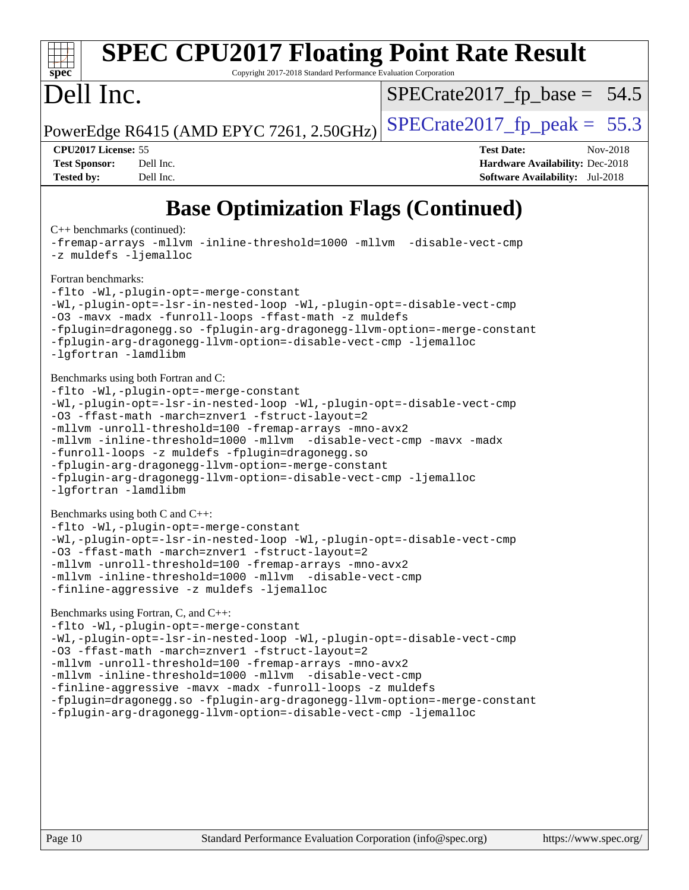### **[spec](http://www.spec.org/) [SPEC CPU2017 Floating Point Rate Result](http://www.spec.org/auto/cpu2017/Docs/result-fields.html#SPECCPU2017FloatingPointRateResult)** Copyright 2017-2018 Standard Performance Evaluation Corporation Dell Inc. PowerEdge R6415 (AMD EPYC 7261, 2.50GHz)  $\left|$  [SPECrate2017\\_fp\\_peak =](http://www.spec.org/auto/cpu2017/Docs/result-fields.html#SPECrate2017fppeak) 55.3  $SPECTate2017_fp\_base = 54.5$ **[CPU2017 License:](http://www.spec.org/auto/cpu2017/Docs/result-fields.html#CPU2017License)** 55 **[Test Date:](http://www.spec.org/auto/cpu2017/Docs/result-fields.html#TestDate)** Nov-2018 **[Test Sponsor:](http://www.spec.org/auto/cpu2017/Docs/result-fields.html#TestSponsor)** Dell Inc. **[Hardware Availability:](http://www.spec.org/auto/cpu2017/Docs/result-fields.html#HardwareAvailability)** Dec-2018 **[Tested by:](http://www.spec.org/auto/cpu2017/Docs/result-fields.html#Testedby)** Dell Inc. **[Software Availability:](http://www.spec.org/auto/cpu2017/Docs/result-fields.html#SoftwareAvailability)** Jul-2018 **[Base Optimization Flags \(Continued\)](http://www.spec.org/auto/cpu2017/Docs/result-fields.html#BaseOptimizationFlags)** [C++ benchmarks](http://www.spec.org/auto/cpu2017/Docs/result-fields.html#CXXbenchmarks) (continued): [-fremap-arrays](http://www.spec.org/cpu2017/results/res2018q4/cpu2017-20181126-09827.flags.html#user_CXXbase_F-fremap-arrays) [-mllvm -inline-threshold=1000](http://www.spec.org/cpu2017/results/res2018q4/cpu2017-20181126-09827.flags.html#user_CXXbase_inline-threshold_b7832241b0a6397e4ecdbaf0eb7defdc10f885c2a282fa3240fdc99844d543fda39cf8a4a9dccf68cf19b5438ac3b455264f478df15da0f4988afa40d8243bab) [-mllvm -disable-vect-cmp](http://www.spec.org/cpu2017/results/res2018q4/cpu2017-20181126-09827.flags.html#user_CXXbase_disable-vect-cmp_d995c9eb800469498c6893dc847c54c903d59847b18cb2ac22011b9af7010c96d2d48d3c6b41246fe86945001509aa4dc528afb61cb238fd3b256a31781ea0cf) [-z muldefs](http://www.spec.org/cpu2017/results/res2018q4/cpu2017-20181126-09827.flags.html#user_CXXbase_F-z-muldefs) [-ljemalloc](http://www.spec.org/cpu2017/results/res2018q4/cpu2017-20181126-09827.flags.html#user_CXXbase_jemalloc-lib_d1249b907c500fa1c0672f44f562e3d0f79738ae9e3c4a9c376d49f265a04b9c99b167ecedbf6711b3085be911c67ff61f150a17b3472be731631ba4d0471706) [Fortran benchmarks](http://www.spec.org/auto/cpu2017/Docs/result-fields.html#Fortranbenchmarks): [-flto](http://www.spec.org/cpu2017/results/res2018q4/cpu2017-20181126-09827.flags.html#user_FCbase_lto) [-Wl,-plugin-opt=-merge-constant](http://www.spec.org/cpu2017/results/res2018q4/cpu2017-20181126-09827.flags.html#user_FCbase_F-merge-constant_1d79771b5442061d9c8e05556c6b0c655e6c9e66f8c6936b0129d434b6acd2b1cf1b7cd2540d1570ff636111b08a6bc36e2e61fc34531f8ef7c1a34c57be1dbb) [-Wl,-plugin-opt=-lsr-in-nested-loop](http://www.spec.org/cpu2017/results/res2018q4/cpu2017-20181126-09827.flags.html#user_FCbase_lsr-in-nested-loop_1cff93fd95162f5e77640b5271e8bed680fb62b4a8d96fb8ab217ff3244646f1fbb342e31af83c263403bbf5249c7dc7732d5c86c3eab4cc8d32dcb7a6f33ca0) [-Wl,-plugin-opt=-disable-vect-cmp](http://www.spec.org/cpu2017/results/res2018q4/cpu2017-20181126-09827.flags.html#user_FCbase_disable-vect-cmp_1056b9a09b8ddc126e023b5f99ae33179ef568835465af9b7adeacf4b6480ff575c8aee439265bcfbcbf086f33f2fa5cca2bc4cf52b64c0cd2e10f6503cba02d) [-O3](http://www.spec.org/cpu2017/results/res2018q4/cpu2017-20181126-09827.flags.html#user_FCbase_F-O3) [-mavx](http://www.spec.org/cpu2017/results/res2018q4/cpu2017-20181126-09827.flags.html#user_FCbase_F-mavx) [-madx](http://www.spec.org/cpu2017/results/res2018q4/cpu2017-20181126-09827.flags.html#user_FCbase_F-madx) [-funroll-loops](http://www.spec.org/cpu2017/results/res2018q4/cpu2017-20181126-09827.flags.html#user_FCbase_aocc-funroll-loops) [-ffast-math](http://www.spec.org/cpu2017/results/res2018q4/cpu2017-20181126-09827.flags.html#user_FCbase_F-aocc-ffast-math_78dd175de6534c2005829757b9b0f2878e57b067cce6f7c443b2250ac68890960e2e1b320ca04b81ff7c62c6f87870ed05f06baf7875eea2990d38e3b73c71f1) [-z muldefs](http://www.spec.org/cpu2017/results/res2018q4/cpu2017-20181126-09827.flags.html#user_FCbase_F-z-muldefs) [-fplugin=dragonegg.so](http://www.spec.org/cpu2017/results/res2018q4/cpu2017-20181126-09827.flags.html#user_FCbase_F-fpluginDragonEgg) [-fplugin-arg-dragonegg-llvm-option=-merge-constant](http://www.spec.org/cpu2017/results/res2018q4/cpu2017-20181126-09827.flags.html#user_FCbase_F-merge-constant_37fd66d07a4fbae8f1b816e843c3ed1ebaa48f794b65ea8be746a1880566a3d23eba4a3c37b5c024650311adcf9247c62af28144803b3729b14be14423fa5142) [-fplugin-arg-dragonegg-llvm-option=-disable-vect-cmp](http://www.spec.org/cpu2017/results/res2018q4/cpu2017-20181126-09827.flags.html#user_FCbase_disable-vect-cmp_d119dd6f96524d64dc477d5e6a72268aebe046b42f767098038bf7530fc0cc546dd329b2376104fde185baca14f7365ef86ccd3ff602b57a7839de005478f594) [-ljemalloc](http://www.spec.org/cpu2017/results/res2018q4/cpu2017-20181126-09827.flags.html#user_FCbase_jemalloc-lib_d1249b907c500fa1c0672f44f562e3d0f79738ae9e3c4a9c376d49f265a04b9c99b167ecedbf6711b3085be911c67ff61f150a17b3472be731631ba4d0471706) [-lgfortran](http://www.spec.org/cpu2017/results/res2018q4/cpu2017-20181126-09827.flags.html#user_FCbase_F-lgfortran) [-lamdlibm](http://www.spec.org/cpu2017/results/res2018q4/cpu2017-20181126-09827.flags.html#user_FCbase_F-lamdlibm) [Benchmarks using both Fortran and C](http://www.spec.org/auto/cpu2017/Docs/result-fields.html#BenchmarksusingbothFortranandC): [-flto](http://www.spec.org/cpu2017/results/res2018q4/cpu2017-20181126-09827.flags.html#user_CC_FCbase_lto) [-Wl,-plugin-opt=-merge-constant](http://www.spec.org/cpu2017/results/res2018q4/cpu2017-20181126-09827.flags.html#user_CC_FCbase_F-merge-constant_1d79771b5442061d9c8e05556c6b0c655e6c9e66f8c6936b0129d434b6acd2b1cf1b7cd2540d1570ff636111b08a6bc36e2e61fc34531f8ef7c1a34c57be1dbb) [-Wl,-plugin-opt=-lsr-in-nested-loop](http://www.spec.org/cpu2017/results/res2018q4/cpu2017-20181126-09827.flags.html#user_CC_FCbase_lsr-in-nested-loop_1cff93fd95162f5e77640b5271e8bed680fb62b4a8d96fb8ab217ff3244646f1fbb342e31af83c263403bbf5249c7dc7732d5c86c3eab4cc8d32dcb7a6f33ca0) [-Wl,-plugin-opt=-disable-vect-cmp](http://www.spec.org/cpu2017/results/res2018q4/cpu2017-20181126-09827.flags.html#user_CC_FCbase_disable-vect-cmp_1056b9a09b8ddc126e023b5f99ae33179ef568835465af9b7adeacf4b6480ff575c8aee439265bcfbcbf086f33f2fa5cca2bc4cf52b64c0cd2e10f6503cba02d) [-O3](http://www.spec.org/cpu2017/results/res2018q4/cpu2017-20181126-09827.flags.html#user_CC_FCbase_F-O3) [-ffast-math](http://www.spec.org/cpu2017/results/res2018q4/cpu2017-20181126-09827.flags.html#user_CC_FCbase_F-aocc-ffast-math_78dd175de6534c2005829757b9b0f2878e57b067cce6f7c443b2250ac68890960e2e1b320ca04b81ff7c62c6f87870ed05f06baf7875eea2990d38e3b73c71f1) [-march=znver1](http://www.spec.org/cpu2017/results/res2018q4/cpu2017-20181126-09827.flags.html#user_CC_FCbase_F-march) [-fstruct-layout=2](http://www.spec.org/cpu2017/results/res2018q4/cpu2017-20181126-09827.flags.html#user_CC_FCbase_F-fstruct-layout_a05ec02e17cdf7fe0c3950a6b005251b2b1e5e67af2b5298cf72714730c3d59ba290e75546b10aa22dac074c15ceaca36ae22c62cb51bcb2fbdc9dc4e7e222c4) [-mllvm -unroll-threshold=100](http://www.spec.org/cpu2017/results/res2018q4/cpu2017-20181126-09827.flags.html#user_CC_FCbase_F-unroll-threshold_2755d0c78138845d361fa1543e3a063fffa198df9b3edf0cfb856bbc88a81e1769b12ac7a550c5d35197be55360db1a3f95a8d1304df999456cabf5120c45168) [-fremap-arrays](http://www.spec.org/cpu2017/results/res2018q4/cpu2017-20181126-09827.flags.html#user_CC_FCbase_F-fremap-arrays) [-mno-avx2](http://www.spec.org/cpu2017/results/res2018q4/cpu2017-20181126-09827.flags.html#user_CC_FCbase_F-mno-avx2) [-mllvm -inline-threshold=1000](http://www.spec.org/cpu2017/results/res2018q4/cpu2017-20181126-09827.flags.html#user_CC_FCbase_inline-threshold_b7832241b0a6397e4ecdbaf0eb7defdc10f885c2a282fa3240fdc99844d543fda39cf8a4a9dccf68cf19b5438ac3b455264f478df15da0f4988afa40d8243bab) [-mllvm -disable-vect-cmp](http://www.spec.org/cpu2017/results/res2018q4/cpu2017-20181126-09827.flags.html#user_CC_FCbase_disable-vect-cmp_d995c9eb800469498c6893dc847c54c903d59847b18cb2ac22011b9af7010c96d2d48d3c6b41246fe86945001509aa4dc528afb61cb238fd3b256a31781ea0cf) [-mavx](http://www.spec.org/cpu2017/results/res2018q4/cpu2017-20181126-09827.flags.html#user_CC_FCbase_F-mavx) [-madx](http://www.spec.org/cpu2017/results/res2018q4/cpu2017-20181126-09827.flags.html#user_CC_FCbase_F-madx) [-funroll-loops](http://www.spec.org/cpu2017/results/res2018q4/cpu2017-20181126-09827.flags.html#user_CC_FCbase_aocc-funroll-loops) [-z muldefs](http://www.spec.org/cpu2017/results/res2018q4/cpu2017-20181126-09827.flags.html#user_CC_FCbase_F-z-muldefs) [-fplugin=dragonegg.so](http://www.spec.org/cpu2017/results/res2018q4/cpu2017-20181126-09827.flags.html#user_CC_FCbase_F-fpluginDragonEgg) [-fplugin-arg-dragonegg-llvm-option=-merge-constant](http://www.spec.org/cpu2017/results/res2018q4/cpu2017-20181126-09827.flags.html#user_CC_FCbase_F-merge-constant_37fd66d07a4fbae8f1b816e843c3ed1ebaa48f794b65ea8be746a1880566a3d23eba4a3c37b5c024650311adcf9247c62af28144803b3729b14be14423fa5142) [-fplugin-arg-dragonegg-llvm-option=-disable-vect-cmp](http://www.spec.org/cpu2017/results/res2018q4/cpu2017-20181126-09827.flags.html#user_CC_FCbase_disable-vect-cmp_d119dd6f96524d64dc477d5e6a72268aebe046b42f767098038bf7530fc0cc546dd329b2376104fde185baca14f7365ef86ccd3ff602b57a7839de005478f594) [-ljemalloc](http://www.spec.org/cpu2017/results/res2018q4/cpu2017-20181126-09827.flags.html#user_CC_FCbase_jemalloc-lib_d1249b907c500fa1c0672f44f562e3d0f79738ae9e3c4a9c376d49f265a04b9c99b167ecedbf6711b3085be911c67ff61f150a17b3472be731631ba4d0471706) [-lgfortran](http://www.spec.org/cpu2017/results/res2018q4/cpu2017-20181126-09827.flags.html#user_CC_FCbase_F-lgfortran) [-lamdlibm](http://www.spec.org/cpu2017/results/res2018q4/cpu2017-20181126-09827.flags.html#user_CC_FCbase_F-lamdlibm) [Benchmarks using both C and C++](http://www.spec.org/auto/cpu2017/Docs/result-fields.html#BenchmarksusingbothCandCXX): [-flto](http://www.spec.org/cpu2017/results/res2018q4/cpu2017-20181126-09827.flags.html#user_CC_CXXbase_lto) [-Wl,-plugin-opt=-merge-constant](http://www.spec.org/cpu2017/results/res2018q4/cpu2017-20181126-09827.flags.html#user_CC_CXXbase_F-merge-constant_1d79771b5442061d9c8e05556c6b0c655e6c9e66f8c6936b0129d434b6acd2b1cf1b7cd2540d1570ff636111b08a6bc36e2e61fc34531f8ef7c1a34c57be1dbb) [-Wl,-plugin-opt=-lsr-in-nested-loop](http://www.spec.org/cpu2017/results/res2018q4/cpu2017-20181126-09827.flags.html#user_CC_CXXbase_lsr-in-nested-loop_1cff93fd95162f5e77640b5271e8bed680fb62b4a8d96fb8ab217ff3244646f1fbb342e31af83c263403bbf5249c7dc7732d5c86c3eab4cc8d32dcb7a6f33ca0) [-Wl,-plugin-opt=-disable-vect-cmp](http://www.spec.org/cpu2017/results/res2018q4/cpu2017-20181126-09827.flags.html#user_CC_CXXbase_disable-vect-cmp_1056b9a09b8ddc126e023b5f99ae33179ef568835465af9b7adeacf4b6480ff575c8aee439265bcfbcbf086f33f2fa5cca2bc4cf52b64c0cd2e10f6503cba02d) [-O3](http://www.spec.org/cpu2017/results/res2018q4/cpu2017-20181126-09827.flags.html#user_CC_CXXbase_F-O3) [-ffast-math](http://www.spec.org/cpu2017/results/res2018q4/cpu2017-20181126-09827.flags.html#user_CC_CXXbase_F-aocc-ffast-math_78dd175de6534c2005829757b9b0f2878e57b067cce6f7c443b2250ac68890960e2e1b320ca04b81ff7c62c6f87870ed05f06baf7875eea2990d38e3b73c71f1) [-march=znver1](http://www.spec.org/cpu2017/results/res2018q4/cpu2017-20181126-09827.flags.html#user_CC_CXXbase_F-march) [-fstruct-layout=2](http://www.spec.org/cpu2017/results/res2018q4/cpu2017-20181126-09827.flags.html#user_CC_CXXbase_F-fstruct-layout_a05ec02e17cdf7fe0c3950a6b005251b2b1e5e67af2b5298cf72714730c3d59ba290e75546b10aa22dac074c15ceaca36ae22c62cb51bcb2fbdc9dc4e7e222c4) [-mllvm -unroll-threshold=100](http://www.spec.org/cpu2017/results/res2018q4/cpu2017-20181126-09827.flags.html#user_CC_CXXbase_F-unroll-threshold_2755d0c78138845d361fa1543e3a063fffa198df9b3edf0cfb856bbc88a81e1769b12ac7a550c5d35197be55360db1a3f95a8d1304df999456cabf5120c45168) [-fremap-arrays](http://www.spec.org/cpu2017/results/res2018q4/cpu2017-20181126-09827.flags.html#user_CC_CXXbase_F-fremap-arrays) [-mno-avx2](http://www.spec.org/cpu2017/results/res2018q4/cpu2017-20181126-09827.flags.html#user_CC_CXXbase_F-mno-avx2) [-mllvm -inline-threshold=1000](http://www.spec.org/cpu2017/results/res2018q4/cpu2017-20181126-09827.flags.html#user_CC_CXXbase_inline-threshold_b7832241b0a6397e4ecdbaf0eb7defdc10f885c2a282fa3240fdc99844d543fda39cf8a4a9dccf68cf19b5438ac3b455264f478df15da0f4988afa40d8243bab) [-mllvm -disable-vect-cmp](http://www.spec.org/cpu2017/results/res2018q4/cpu2017-20181126-09827.flags.html#user_CC_CXXbase_disable-vect-cmp_d995c9eb800469498c6893dc847c54c903d59847b18cb2ac22011b9af7010c96d2d48d3c6b41246fe86945001509aa4dc528afb61cb238fd3b256a31781ea0cf) [-finline-aggressive](http://www.spec.org/cpu2017/results/res2018q4/cpu2017-20181126-09827.flags.html#user_CC_CXXbase_F-finline-aggressive) [-z muldefs](http://www.spec.org/cpu2017/results/res2018q4/cpu2017-20181126-09827.flags.html#user_CC_CXXbase_F-z-muldefs) [-ljemalloc](http://www.spec.org/cpu2017/results/res2018q4/cpu2017-20181126-09827.flags.html#user_CC_CXXbase_jemalloc-lib_d1249b907c500fa1c0672f44f562e3d0f79738ae9e3c4a9c376d49f265a04b9c99b167ecedbf6711b3085be911c67ff61f150a17b3472be731631ba4d0471706) [Benchmarks using Fortran, C, and C++:](http://www.spec.org/auto/cpu2017/Docs/result-fields.html#BenchmarksusingFortranCandCXX) [-flto](http://www.spec.org/cpu2017/results/res2018q4/cpu2017-20181126-09827.flags.html#user_CC_CXX_FCbase_lto) [-Wl,-plugin-opt=-merge-constant](http://www.spec.org/cpu2017/results/res2018q4/cpu2017-20181126-09827.flags.html#user_CC_CXX_FCbase_F-merge-constant_1d79771b5442061d9c8e05556c6b0c655e6c9e66f8c6936b0129d434b6acd2b1cf1b7cd2540d1570ff636111b08a6bc36e2e61fc34531f8ef7c1a34c57be1dbb) [-Wl,-plugin-opt=-lsr-in-nested-loop](http://www.spec.org/cpu2017/results/res2018q4/cpu2017-20181126-09827.flags.html#user_CC_CXX_FCbase_lsr-in-nested-loop_1cff93fd95162f5e77640b5271e8bed680fb62b4a8d96fb8ab217ff3244646f1fbb342e31af83c263403bbf5249c7dc7732d5c86c3eab4cc8d32dcb7a6f33ca0) [-Wl,-plugin-opt=-disable-vect-cmp](http://www.spec.org/cpu2017/results/res2018q4/cpu2017-20181126-09827.flags.html#user_CC_CXX_FCbase_disable-vect-cmp_1056b9a09b8ddc126e023b5f99ae33179ef568835465af9b7adeacf4b6480ff575c8aee439265bcfbcbf086f33f2fa5cca2bc4cf52b64c0cd2e10f6503cba02d) [-O3](http://www.spec.org/cpu2017/results/res2018q4/cpu2017-20181126-09827.flags.html#user_CC_CXX_FCbase_F-O3) [-ffast-math](http://www.spec.org/cpu2017/results/res2018q4/cpu2017-20181126-09827.flags.html#user_CC_CXX_FCbase_F-aocc-ffast-math_78dd175de6534c2005829757b9b0f2878e57b067cce6f7c443b2250ac68890960e2e1b320ca04b81ff7c62c6f87870ed05f06baf7875eea2990d38e3b73c71f1) [-march=znver1](http://www.spec.org/cpu2017/results/res2018q4/cpu2017-20181126-09827.flags.html#user_CC_CXX_FCbase_F-march) [-fstruct-layout=2](http://www.spec.org/cpu2017/results/res2018q4/cpu2017-20181126-09827.flags.html#user_CC_CXX_FCbase_F-fstruct-layout_a05ec02e17cdf7fe0c3950a6b005251b2b1e5e67af2b5298cf72714730c3d59ba290e75546b10aa22dac074c15ceaca36ae22c62cb51bcb2fbdc9dc4e7e222c4) [-mllvm -unroll-threshold=100](http://www.spec.org/cpu2017/results/res2018q4/cpu2017-20181126-09827.flags.html#user_CC_CXX_FCbase_F-unroll-threshold_2755d0c78138845d361fa1543e3a063fffa198df9b3edf0cfb856bbc88a81e1769b12ac7a550c5d35197be55360db1a3f95a8d1304df999456cabf5120c45168) [-fremap-arrays](http://www.spec.org/cpu2017/results/res2018q4/cpu2017-20181126-09827.flags.html#user_CC_CXX_FCbase_F-fremap-arrays) [-mno-avx2](http://www.spec.org/cpu2017/results/res2018q4/cpu2017-20181126-09827.flags.html#user_CC_CXX_FCbase_F-mno-avx2) [-mllvm -inline-threshold=1000](http://www.spec.org/cpu2017/results/res2018q4/cpu2017-20181126-09827.flags.html#user_CC_CXX_FCbase_inline-threshold_b7832241b0a6397e4ecdbaf0eb7defdc10f885c2a282fa3240fdc99844d543fda39cf8a4a9dccf68cf19b5438ac3b455264f478df15da0f4988afa40d8243bab) [-mllvm -disable-vect-cmp](http://www.spec.org/cpu2017/results/res2018q4/cpu2017-20181126-09827.flags.html#user_CC_CXX_FCbase_disable-vect-cmp_d995c9eb800469498c6893dc847c54c903d59847b18cb2ac22011b9af7010c96d2d48d3c6b41246fe86945001509aa4dc528afb61cb238fd3b256a31781ea0cf) [-finline-aggressive](http://www.spec.org/cpu2017/results/res2018q4/cpu2017-20181126-09827.flags.html#user_CC_CXX_FCbase_F-finline-aggressive) [-mavx](http://www.spec.org/cpu2017/results/res2018q4/cpu2017-20181126-09827.flags.html#user_CC_CXX_FCbase_F-mavx) [-madx](http://www.spec.org/cpu2017/results/res2018q4/cpu2017-20181126-09827.flags.html#user_CC_CXX_FCbase_F-madx) [-funroll-loops](http://www.spec.org/cpu2017/results/res2018q4/cpu2017-20181126-09827.flags.html#user_CC_CXX_FCbase_aocc-funroll-loops) [-z muldefs](http://www.spec.org/cpu2017/results/res2018q4/cpu2017-20181126-09827.flags.html#user_CC_CXX_FCbase_F-z-muldefs) [-fplugin=dragonegg.so](http://www.spec.org/cpu2017/results/res2018q4/cpu2017-20181126-09827.flags.html#user_CC_CXX_FCbase_F-fpluginDragonEgg) [-fplugin-arg-dragonegg-llvm-option=-merge-constant](http://www.spec.org/cpu2017/results/res2018q4/cpu2017-20181126-09827.flags.html#user_CC_CXX_FCbase_F-merge-constant_37fd66d07a4fbae8f1b816e843c3ed1ebaa48f794b65ea8be746a1880566a3d23eba4a3c37b5c024650311adcf9247c62af28144803b3729b14be14423fa5142) [-fplugin-arg-dragonegg-llvm-option=-disable-vect-cmp](http://www.spec.org/cpu2017/results/res2018q4/cpu2017-20181126-09827.flags.html#user_CC_CXX_FCbase_disable-vect-cmp_d119dd6f96524d64dc477d5e6a72268aebe046b42f767098038bf7530fc0cc546dd329b2376104fde185baca14f7365ef86ccd3ff602b57a7839de005478f594) [-ljemalloc](http://www.spec.org/cpu2017/results/res2018q4/cpu2017-20181126-09827.flags.html#user_CC_CXX_FCbase_jemalloc-lib_d1249b907c500fa1c0672f44f562e3d0f79738ae9e3c4a9c376d49f265a04b9c99b167ecedbf6711b3085be911c67ff61f150a17b3472be731631ba4d0471706)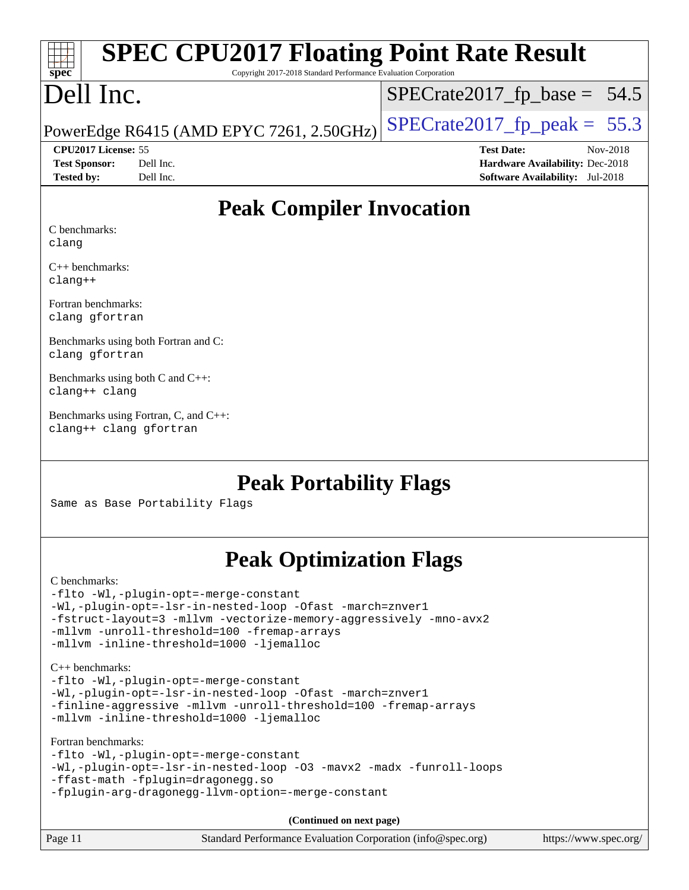# **[spec](http://www.spec.org/)**

# **[SPEC CPU2017 Floating Point Rate Result](http://www.spec.org/auto/cpu2017/Docs/result-fields.html#SPECCPU2017FloatingPointRateResult)**

Copyright 2017-2018 Standard Performance Evaluation Corporation

## Dell Inc.

 $SPECTate2017_fp\_base = 54.5$ 

### PowerEdge R6415 (AMD EPYC 7261, 2.50GHz)  $\left|$  [SPECrate2017\\_fp\\_peak =](http://www.spec.org/auto/cpu2017/Docs/result-fields.html#SPECrate2017fppeak) 55.3

**[Tested by:](http://www.spec.org/auto/cpu2017/Docs/result-fields.html#Testedby)** Dell Inc. **[Software Availability:](http://www.spec.org/auto/cpu2017/Docs/result-fields.html#SoftwareAvailability)** Jul-2018

**[CPU2017 License:](http://www.spec.org/auto/cpu2017/Docs/result-fields.html#CPU2017License)** 55 **[Test Date:](http://www.spec.org/auto/cpu2017/Docs/result-fields.html#TestDate)** Nov-2018 **[Test Sponsor:](http://www.spec.org/auto/cpu2017/Docs/result-fields.html#TestSponsor)** Dell Inc. **[Hardware Availability:](http://www.spec.org/auto/cpu2017/Docs/result-fields.html#HardwareAvailability)** Dec-2018

### **[Peak Compiler Invocation](http://www.spec.org/auto/cpu2017/Docs/result-fields.html#PeakCompilerInvocation)**

[C benchmarks](http://www.spec.org/auto/cpu2017/Docs/result-fields.html#Cbenchmarks): [clang](http://www.spec.org/cpu2017/results/res2018q4/cpu2017-20181126-09827.flags.html#user_CCpeak_Fclang3_a68b77bfed473bd9cdd22529af008e8306c2e3948617c8991604c1a2000ee4a73ef90dd8bc793e105fe4165a625d26dacbda4708d828ad19048918c071b363ec)

[C++ benchmarks](http://www.spec.org/auto/cpu2017/Docs/result-fields.html#CXXbenchmarks): [clang++](http://www.spec.org/cpu2017/results/res2018q4/cpu2017-20181126-09827.flags.html#user_CXXpeak_Fclang3_57a48582e5be507d19b2527b3e7d4f85d9b8669ffc9a8a0dbb9bcf949a918a58bbab411e0c4d14a3922022a3e425a90db94042683824c1806feff4324ca1000d)

[Fortran benchmarks:](http://www.spec.org/auto/cpu2017/Docs/result-fields.html#Fortranbenchmarks) [clang](http://www.spec.org/cpu2017/results/res2018q4/cpu2017-20181126-09827.flags.html#user_FCpeak_Fclang3_a68b77bfed473bd9cdd22529af008e8306c2e3948617c8991604c1a2000ee4a73ef90dd8bc793e105fe4165a625d26dacbda4708d828ad19048918c071b363ec) [gfortran](http://www.spec.org/cpu2017/results/res2018q4/cpu2017-20181126-09827.flags.html#user_FCpeak_aocc-gfortran_128c91a56d61ddb07404721e65b8f9498c31a443dacbd3b7f212891090eca86e2d099b520f75b99e9e8ac4fdec01f4d15f0b65e47123ec4c42b0759045731a1f)

[Benchmarks using both Fortran and C](http://www.spec.org/auto/cpu2017/Docs/result-fields.html#BenchmarksusingbothFortranandC): [clang](http://www.spec.org/cpu2017/results/res2018q4/cpu2017-20181126-09827.flags.html#user_CC_FCpeak_Fclang3_a68b77bfed473bd9cdd22529af008e8306c2e3948617c8991604c1a2000ee4a73ef90dd8bc793e105fe4165a625d26dacbda4708d828ad19048918c071b363ec) [gfortran](http://www.spec.org/cpu2017/results/res2018q4/cpu2017-20181126-09827.flags.html#user_CC_FCpeak_aocc-gfortran_128c91a56d61ddb07404721e65b8f9498c31a443dacbd3b7f212891090eca86e2d099b520f75b99e9e8ac4fdec01f4d15f0b65e47123ec4c42b0759045731a1f)

[Benchmarks using both C and C++:](http://www.spec.org/auto/cpu2017/Docs/result-fields.html#BenchmarksusingbothCandCXX) [clang++](http://www.spec.org/cpu2017/results/res2018q4/cpu2017-20181126-09827.flags.html#user_CC_CXXpeak_Fclang3_57a48582e5be507d19b2527b3e7d4f85d9b8669ffc9a8a0dbb9bcf949a918a58bbab411e0c4d14a3922022a3e425a90db94042683824c1806feff4324ca1000d) [clang](http://www.spec.org/cpu2017/results/res2018q4/cpu2017-20181126-09827.flags.html#user_CC_CXXpeak_Fclang3_a68b77bfed473bd9cdd22529af008e8306c2e3948617c8991604c1a2000ee4a73ef90dd8bc793e105fe4165a625d26dacbda4708d828ad19048918c071b363ec)

[Benchmarks using Fortran, C, and C++](http://www.spec.org/auto/cpu2017/Docs/result-fields.html#BenchmarksusingFortranCandCXX): [clang++](http://www.spec.org/cpu2017/results/res2018q4/cpu2017-20181126-09827.flags.html#user_CC_CXX_FCpeak_Fclang3_57a48582e5be507d19b2527b3e7d4f85d9b8669ffc9a8a0dbb9bcf949a918a58bbab411e0c4d14a3922022a3e425a90db94042683824c1806feff4324ca1000d) [clang](http://www.spec.org/cpu2017/results/res2018q4/cpu2017-20181126-09827.flags.html#user_CC_CXX_FCpeak_Fclang3_a68b77bfed473bd9cdd22529af008e8306c2e3948617c8991604c1a2000ee4a73ef90dd8bc793e105fe4165a625d26dacbda4708d828ad19048918c071b363ec) [gfortran](http://www.spec.org/cpu2017/results/res2018q4/cpu2017-20181126-09827.flags.html#user_CC_CXX_FCpeak_aocc-gfortran_128c91a56d61ddb07404721e65b8f9498c31a443dacbd3b7f212891090eca86e2d099b520f75b99e9e8ac4fdec01f4d15f0b65e47123ec4c42b0759045731a1f)

### **[Peak Portability Flags](http://www.spec.org/auto/cpu2017/Docs/result-fields.html#PeakPortabilityFlags)**

Same as Base Portability Flags

### **[Peak Optimization Flags](http://www.spec.org/auto/cpu2017/Docs/result-fields.html#PeakOptimizationFlags)**

[C benchmarks](http://www.spec.org/auto/cpu2017/Docs/result-fields.html#Cbenchmarks): [-flto](http://www.spec.org/cpu2017/results/res2018q4/cpu2017-20181126-09827.flags.html#user_CCpeak_lto) [-Wl,-plugin-opt=-merge-constant](http://www.spec.org/cpu2017/results/res2018q4/cpu2017-20181126-09827.flags.html#user_CCpeak_F-merge-constant_1d79771b5442061d9c8e05556c6b0c655e6c9e66f8c6936b0129d434b6acd2b1cf1b7cd2540d1570ff636111b08a6bc36e2e61fc34531f8ef7c1a34c57be1dbb) [-Wl,-plugin-opt=-lsr-in-nested-loop](http://www.spec.org/cpu2017/results/res2018q4/cpu2017-20181126-09827.flags.html#user_CCpeak_lsr-in-nested-loop_1cff93fd95162f5e77640b5271e8bed680fb62b4a8d96fb8ab217ff3244646f1fbb342e31af83c263403bbf5249c7dc7732d5c86c3eab4cc8d32dcb7a6f33ca0) [-Ofast](http://www.spec.org/cpu2017/results/res2018q4/cpu2017-20181126-09827.flags.html#user_CCpeak_F-aocc-Ofast) [-march=znver1](http://www.spec.org/cpu2017/results/res2018q4/cpu2017-20181126-09827.flags.html#user_CCpeak_F-march) [-fstruct-layout=3](http://www.spec.org/cpu2017/results/res2018q4/cpu2017-20181126-09827.flags.html#user_CCpeak_F-fstruct-layout) [-mllvm -vectorize-memory-aggressively](http://www.spec.org/cpu2017/results/res2018q4/cpu2017-20181126-09827.flags.html#user_CCpeak_vectorize-memory-aggressively_24b72a4417f50ade9e698c5b3bed87ab456cc6fc8ec6439480cb84f36ad6a3975af6e87206dea402e3871a1464ff3d60bc798e0250f330177ba629a260df1857) [-mno-avx2](http://www.spec.org/cpu2017/results/res2018q4/cpu2017-20181126-09827.flags.html#user_CCpeak_F-mno-avx2) [-mllvm -unroll-threshold=100](http://www.spec.org/cpu2017/results/res2018q4/cpu2017-20181126-09827.flags.html#user_CCpeak_F-unroll-threshold_2755d0c78138845d361fa1543e3a063fffa198df9b3edf0cfb856bbc88a81e1769b12ac7a550c5d35197be55360db1a3f95a8d1304df999456cabf5120c45168) [-fremap-arrays](http://www.spec.org/cpu2017/results/res2018q4/cpu2017-20181126-09827.flags.html#user_CCpeak_F-fremap-arrays) [-mllvm -inline-threshold=1000](http://www.spec.org/cpu2017/results/res2018q4/cpu2017-20181126-09827.flags.html#user_CCpeak_inline-threshold_b7832241b0a6397e4ecdbaf0eb7defdc10f885c2a282fa3240fdc99844d543fda39cf8a4a9dccf68cf19b5438ac3b455264f478df15da0f4988afa40d8243bab) [-ljemalloc](http://www.spec.org/cpu2017/results/res2018q4/cpu2017-20181126-09827.flags.html#user_CCpeak_jemalloc-lib_d1249b907c500fa1c0672f44f562e3d0f79738ae9e3c4a9c376d49f265a04b9c99b167ecedbf6711b3085be911c67ff61f150a17b3472be731631ba4d0471706) [C++ benchmarks:](http://www.spec.org/auto/cpu2017/Docs/result-fields.html#CXXbenchmarks) [-flto](http://www.spec.org/cpu2017/results/res2018q4/cpu2017-20181126-09827.flags.html#user_CXXpeak_lto) [-Wl,-plugin-opt=-merge-constant](http://www.spec.org/cpu2017/results/res2018q4/cpu2017-20181126-09827.flags.html#user_CXXpeak_F-merge-constant_1d79771b5442061d9c8e05556c6b0c655e6c9e66f8c6936b0129d434b6acd2b1cf1b7cd2540d1570ff636111b08a6bc36e2e61fc34531f8ef7c1a34c57be1dbb) [-Wl,-plugin-opt=-lsr-in-nested-loop](http://www.spec.org/cpu2017/results/res2018q4/cpu2017-20181126-09827.flags.html#user_CXXpeak_lsr-in-nested-loop_1cff93fd95162f5e77640b5271e8bed680fb62b4a8d96fb8ab217ff3244646f1fbb342e31af83c263403bbf5249c7dc7732d5c86c3eab4cc8d32dcb7a6f33ca0) [-Ofast](http://www.spec.org/cpu2017/results/res2018q4/cpu2017-20181126-09827.flags.html#user_CXXpeak_F-aocc-Ofast) [-march=znver1](http://www.spec.org/cpu2017/results/res2018q4/cpu2017-20181126-09827.flags.html#user_CXXpeak_F-march) [-finline-aggressive](http://www.spec.org/cpu2017/results/res2018q4/cpu2017-20181126-09827.flags.html#user_CXXpeak_F-finline-aggressive) [-mllvm -unroll-threshold=100](http://www.spec.org/cpu2017/results/res2018q4/cpu2017-20181126-09827.flags.html#user_CXXpeak_F-unroll-threshold_2755d0c78138845d361fa1543e3a063fffa198df9b3edf0cfb856bbc88a81e1769b12ac7a550c5d35197be55360db1a3f95a8d1304df999456cabf5120c45168) [-fremap-arrays](http://www.spec.org/cpu2017/results/res2018q4/cpu2017-20181126-09827.flags.html#user_CXXpeak_F-fremap-arrays) [-mllvm -inline-threshold=1000](http://www.spec.org/cpu2017/results/res2018q4/cpu2017-20181126-09827.flags.html#user_CXXpeak_inline-threshold_b7832241b0a6397e4ecdbaf0eb7defdc10f885c2a282fa3240fdc99844d543fda39cf8a4a9dccf68cf19b5438ac3b455264f478df15da0f4988afa40d8243bab) [-ljemalloc](http://www.spec.org/cpu2017/results/res2018q4/cpu2017-20181126-09827.flags.html#user_CXXpeak_jemalloc-lib_d1249b907c500fa1c0672f44f562e3d0f79738ae9e3c4a9c376d49f265a04b9c99b167ecedbf6711b3085be911c67ff61f150a17b3472be731631ba4d0471706) [Fortran benchmarks](http://www.spec.org/auto/cpu2017/Docs/result-fields.html#Fortranbenchmarks): [-flto](http://www.spec.org/cpu2017/results/res2018q4/cpu2017-20181126-09827.flags.html#user_FCpeak_lto) [-Wl,-plugin-opt=-merge-constant](http://www.spec.org/cpu2017/results/res2018q4/cpu2017-20181126-09827.flags.html#user_FCpeak_F-merge-constant_1d79771b5442061d9c8e05556c6b0c655e6c9e66f8c6936b0129d434b6acd2b1cf1b7cd2540d1570ff636111b08a6bc36e2e61fc34531f8ef7c1a34c57be1dbb) [-Wl,-plugin-opt=-lsr-in-nested-loop](http://www.spec.org/cpu2017/results/res2018q4/cpu2017-20181126-09827.flags.html#user_FCpeak_lsr-in-nested-loop_1cff93fd95162f5e77640b5271e8bed680fb62b4a8d96fb8ab217ff3244646f1fbb342e31af83c263403bbf5249c7dc7732d5c86c3eab4cc8d32dcb7a6f33ca0) [-O3](http://www.spec.org/cpu2017/results/res2018q4/cpu2017-20181126-09827.flags.html#user_FCpeak_F-O3) [-mavx2](http://www.spec.org/cpu2017/results/res2018q4/cpu2017-20181126-09827.flags.html#user_FCpeak_F-mavx2) [-madx](http://www.spec.org/cpu2017/results/res2018q4/cpu2017-20181126-09827.flags.html#user_FCpeak_F-madx) [-funroll-loops](http://www.spec.org/cpu2017/results/res2018q4/cpu2017-20181126-09827.flags.html#user_FCpeak_aocc-funroll-loops) [-ffast-math](http://www.spec.org/cpu2017/results/res2018q4/cpu2017-20181126-09827.flags.html#user_FCpeak_F-aocc-ffast-math_78dd175de6534c2005829757b9b0f2878e57b067cce6f7c443b2250ac68890960e2e1b320ca04b81ff7c62c6f87870ed05f06baf7875eea2990d38e3b73c71f1) [-fplugin=dragonegg.so](http://www.spec.org/cpu2017/results/res2018q4/cpu2017-20181126-09827.flags.html#user_FCpeak_F-fpluginDragonEgg) [-fplugin-arg-dragonegg-llvm-option=-merge-constant](http://www.spec.org/cpu2017/results/res2018q4/cpu2017-20181126-09827.flags.html#user_FCpeak_F-merge-constant_37fd66d07a4fbae8f1b816e843c3ed1ebaa48f794b65ea8be746a1880566a3d23eba4a3c37b5c024650311adcf9247c62af28144803b3729b14be14423fa5142) **(Continued on next page)**

| Page 11 | Standard Performance Evaluation Corporation (info@spec.org) | https://www.spec.org/ |
|---------|-------------------------------------------------------------|-----------------------|
|         |                                                             |                       |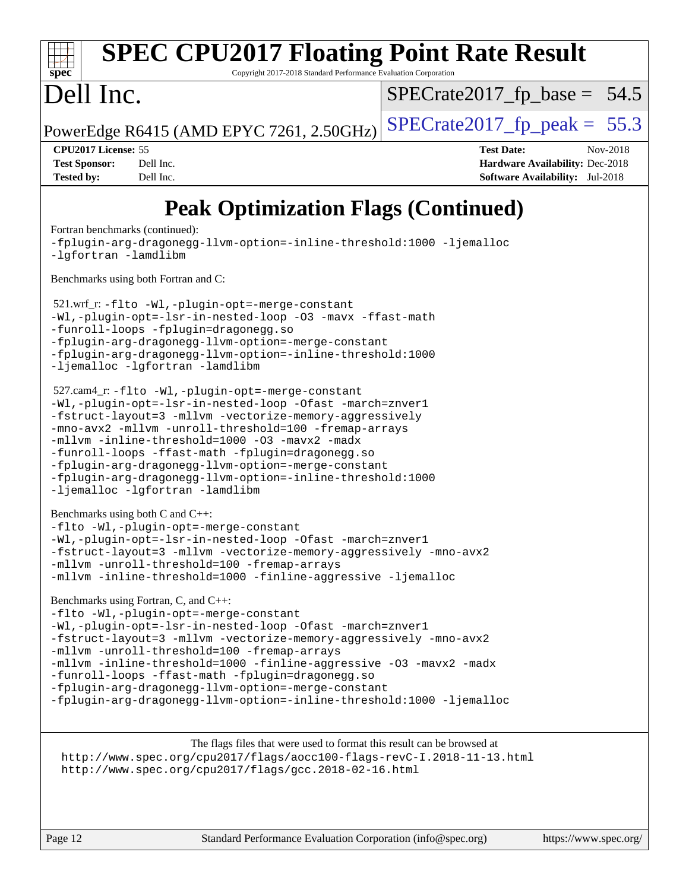### **[spec](http://www.spec.org/) [SPEC CPU2017 Floating Point Rate Result](http://www.spec.org/auto/cpu2017/Docs/result-fields.html#SPECCPU2017FloatingPointRateResult)** Copyright 2017-2018 Standard Performance Evaluation Corporation Dell Inc. PowerEdge R6415 (AMD EPYC 7261, 2.50GHz)  $\left|$  [SPECrate2017\\_fp\\_peak =](http://www.spec.org/auto/cpu2017/Docs/result-fields.html#SPECrate2017fppeak) 55.3  $SPECTate2017_fp\_base = 54.5$ **[CPU2017 License:](http://www.spec.org/auto/cpu2017/Docs/result-fields.html#CPU2017License)** 55 **[Test Date:](http://www.spec.org/auto/cpu2017/Docs/result-fields.html#TestDate)** Nov-2018 **[Test Sponsor:](http://www.spec.org/auto/cpu2017/Docs/result-fields.html#TestSponsor)** Dell Inc. **[Hardware Availability:](http://www.spec.org/auto/cpu2017/Docs/result-fields.html#HardwareAvailability)** Dec-2018 **[Tested by:](http://www.spec.org/auto/cpu2017/Docs/result-fields.html#Testedby)** Dell Inc. **[Software Availability:](http://www.spec.org/auto/cpu2017/Docs/result-fields.html#SoftwareAvailability)** Jul-2018 **[Peak Optimization Flags \(Continued\)](http://www.spec.org/auto/cpu2017/Docs/result-fields.html#PeakOptimizationFlags)** [Fortran benchmarks](http://www.spec.org/auto/cpu2017/Docs/result-fields.html#Fortranbenchmarks) (continued): [-fplugin-arg-dragonegg-llvm-option=-inline-threshold:1000](http://www.spec.org/cpu2017/results/res2018q4/cpu2017-20181126-09827.flags.html#user_FCpeak_inline-threshold_eec74946bf81becf626625ea3f1757217b7f1e09b0c056df6f4a6dc542562255a9e8a6d36c454b3b2ed3e147f40cf87a14a68e01ad47a8b90b49f15f387f919f) [-ljemalloc](http://www.spec.org/cpu2017/results/res2018q4/cpu2017-20181126-09827.flags.html#user_FCpeak_jemalloc-lib_d1249b907c500fa1c0672f44f562e3d0f79738ae9e3c4a9c376d49f265a04b9c99b167ecedbf6711b3085be911c67ff61f150a17b3472be731631ba4d0471706) [-lgfortran](http://www.spec.org/cpu2017/results/res2018q4/cpu2017-20181126-09827.flags.html#user_FCpeak_F-lgfortran) [-lamdlibm](http://www.spec.org/cpu2017/results/res2018q4/cpu2017-20181126-09827.flags.html#user_FCpeak_F-lamdlibm) [Benchmarks using both Fortran and C](http://www.spec.org/auto/cpu2017/Docs/result-fields.html#BenchmarksusingbothFortranandC): 521.wrf\_r: [-flto](http://www.spec.org/cpu2017/results/res2018q4/cpu2017-20181126-09827.flags.html#user_peakEXTRA_LDFLAGS521_wrf_r_lto) [-Wl,-plugin-opt=-merge-constant](http://www.spec.org/cpu2017/results/res2018q4/cpu2017-20181126-09827.flags.html#user_peakEXTRA_LDFLAGS521_wrf_r_F-merge-constant_1d79771b5442061d9c8e05556c6b0c655e6c9e66f8c6936b0129d434b6acd2b1cf1b7cd2540d1570ff636111b08a6bc36e2e61fc34531f8ef7c1a34c57be1dbb) [-Wl,-plugin-opt=-lsr-in-nested-loop](http://www.spec.org/cpu2017/results/res2018q4/cpu2017-20181126-09827.flags.html#user_peakEXTRA_LDFLAGS521_wrf_r_lsr-in-nested-loop_1cff93fd95162f5e77640b5271e8bed680fb62b4a8d96fb8ab217ff3244646f1fbb342e31af83c263403bbf5249c7dc7732d5c86c3eab4cc8d32dcb7a6f33ca0) [-O3](http://www.spec.org/cpu2017/results/res2018q4/cpu2017-20181126-09827.flags.html#user_peakCOPTIMIZEFOPTIMIZE521_wrf_r_F-O3) [-mavx](http://www.spec.org/cpu2017/results/res2018q4/cpu2017-20181126-09827.flags.html#user_peakCOPTIMIZEFOPTIMIZE521_wrf_r_F-mavx) [-ffast-math](http://www.spec.org/cpu2017/results/res2018q4/cpu2017-20181126-09827.flags.html#user_peakCOPTIMIZEFOPTIMIZE521_wrf_r_F-aocc-ffast-math_78dd175de6534c2005829757b9b0f2878e57b067cce6f7c443b2250ac68890960e2e1b320ca04b81ff7c62c6f87870ed05f06baf7875eea2990d38e3b73c71f1) [-funroll-loops](http://www.spec.org/cpu2017/results/res2018q4/cpu2017-20181126-09827.flags.html#user_peakFOPTIMIZE521_wrf_r_aocc-funroll-loops) [-fplugin=dragonegg.so](http://www.spec.org/cpu2017/results/res2018q4/cpu2017-20181126-09827.flags.html#user_peakEXTRA_FFLAGS521_wrf_r_F-fpluginDragonEgg) [-fplugin-arg-dragonegg-llvm-option=-merge-constant](http://www.spec.org/cpu2017/results/res2018q4/cpu2017-20181126-09827.flags.html#user_peakEXTRA_FFLAGS521_wrf_r_F-merge-constant_37fd66d07a4fbae8f1b816e843c3ed1ebaa48f794b65ea8be746a1880566a3d23eba4a3c37b5c024650311adcf9247c62af28144803b3729b14be14423fa5142) [-fplugin-arg-dragonegg-llvm-option=-inline-threshold:1000](http://www.spec.org/cpu2017/results/res2018q4/cpu2017-20181126-09827.flags.html#user_peakEXTRA_FFLAGS521_wrf_r_inline-threshold_eec74946bf81becf626625ea3f1757217b7f1e09b0c056df6f4a6dc542562255a9e8a6d36c454b3b2ed3e147f40cf87a14a68e01ad47a8b90b49f15f387f919f) [-ljemalloc](http://www.spec.org/cpu2017/results/res2018q4/cpu2017-20181126-09827.flags.html#user_peakEXTRA_LIBS521_wrf_r_jemalloc-lib_d1249b907c500fa1c0672f44f562e3d0f79738ae9e3c4a9c376d49f265a04b9c99b167ecedbf6711b3085be911c67ff61f150a17b3472be731631ba4d0471706) [-lgfortran](http://www.spec.org/cpu2017/results/res2018q4/cpu2017-20181126-09827.flags.html#user_peakEXTRA_FLIBS521_wrf_r_F-lgfortran) [-lamdlibm](http://www.spec.org/cpu2017/results/res2018q4/cpu2017-20181126-09827.flags.html#user_peakEXTRA_FLIBS521_wrf_r_F-lamdlibm) 527.cam4\_r: [-flto](http://www.spec.org/cpu2017/results/res2018q4/cpu2017-20181126-09827.flags.html#user_peakCOPTIMIZEEXTRA_LDFLAGS527_cam4_r_lto) [-Wl,-plugin-opt=-merge-constant](http://www.spec.org/cpu2017/results/res2018q4/cpu2017-20181126-09827.flags.html#user_peakEXTRA_LDFLAGS527_cam4_r_F-merge-constant_1d79771b5442061d9c8e05556c6b0c655e6c9e66f8c6936b0129d434b6acd2b1cf1b7cd2540d1570ff636111b08a6bc36e2e61fc34531f8ef7c1a34c57be1dbb) [-Wl,-plugin-opt=-lsr-in-nested-loop](http://www.spec.org/cpu2017/results/res2018q4/cpu2017-20181126-09827.flags.html#user_peakEXTRA_LDFLAGS527_cam4_r_lsr-in-nested-loop_1cff93fd95162f5e77640b5271e8bed680fb62b4a8d96fb8ab217ff3244646f1fbb342e31af83c263403bbf5249c7dc7732d5c86c3eab4cc8d32dcb7a6f33ca0) [-Ofast](http://www.spec.org/cpu2017/results/res2018q4/cpu2017-20181126-09827.flags.html#user_peakCOPTIMIZE527_cam4_r_F-aocc-Ofast) [-march=znver1](http://www.spec.org/cpu2017/results/res2018q4/cpu2017-20181126-09827.flags.html#user_peakCOPTIMIZE527_cam4_r_F-march) [-fstruct-layout=3](http://www.spec.org/cpu2017/results/res2018q4/cpu2017-20181126-09827.flags.html#user_peakCOPTIMIZE527_cam4_r_F-fstruct-layout) [-mllvm -vectorize-memory-aggressively](http://www.spec.org/cpu2017/results/res2018q4/cpu2017-20181126-09827.flags.html#user_peakCOPTIMIZE527_cam4_r_vectorize-memory-aggressively_24b72a4417f50ade9e698c5b3bed87ab456cc6fc8ec6439480cb84f36ad6a3975af6e87206dea402e3871a1464ff3d60bc798e0250f330177ba629a260df1857) [-mno-avx2](http://www.spec.org/cpu2017/results/res2018q4/cpu2017-20181126-09827.flags.html#user_peakCOPTIMIZE527_cam4_r_F-mno-avx2) [-mllvm -unroll-threshold=100](http://www.spec.org/cpu2017/results/res2018q4/cpu2017-20181126-09827.flags.html#user_peakCOPTIMIZE527_cam4_r_F-unroll-threshold_2755d0c78138845d361fa1543e3a063fffa198df9b3edf0cfb856bbc88a81e1769b12ac7a550c5d35197be55360db1a3f95a8d1304df999456cabf5120c45168) [-fremap-arrays](http://www.spec.org/cpu2017/results/res2018q4/cpu2017-20181126-09827.flags.html#user_peakCOPTIMIZE527_cam4_r_F-fremap-arrays) [-mllvm -inline-threshold=1000](http://www.spec.org/cpu2017/results/res2018q4/cpu2017-20181126-09827.flags.html#user_peakCOPTIMIZE527_cam4_r_inline-threshold_b7832241b0a6397e4ecdbaf0eb7defdc10f885c2a282fa3240fdc99844d543fda39cf8a4a9dccf68cf19b5438ac3b455264f478df15da0f4988afa40d8243bab) [-O3](http://www.spec.org/cpu2017/results/res2018q4/cpu2017-20181126-09827.flags.html#user_peakFOPTIMIZE527_cam4_r_F-O3) [-mavx2](http://www.spec.org/cpu2017/results/res2018q4/cpu2017-20181126-09827.flags.html#user_peakFOPTIMIZE527_cam4_r_F-mavx2) [-madx](http://www.spec.org/cpu2017/results/res2018q4/cpu2017-20181126-09827.flags.html#user_peakFOPTIMIZE527_cam4_r_F-madx) [-funroll-loops](http://www.spec.org/cpu2017/results/res2018q4/cpu2017-20181126-09827.flags.html#user_peakFOPTIMIZE527_cam4_r_aocc-funroll-loops) [-ffast-math](http://www.spec.org/cpu2017/results/res2018q4/cpu2017-20181126-09827.flags.html#user_peakFOPTIMIZE527_cam4_r_F-aocc-ffast-math_78dd175de6534c2005829757b9b0f2878e57b067cce6f7c443b2250ac68890960e2e1b320ca04b81ff7c62c6f87870ed05f06baf7875eea2990d38e3b73c71f1) [-fplugin=dragonegg.so](http://www.spec.org/cpu2017/results/res2018q4/cpu2017-20181126-09827.flags.html#user_peakEXTRA_FFLAGS527_cam4_r_F-fpluginDragonEgg) [-fplugin-arg-dragonegg-llvm-option=-merge-constant](http://www.spec.org/cpu2017/results/res2018q4/cpu2017-20181126-09827.flags.html#user_peakEXTRA_FFLAGS527_cam4_r_F-merge-constant_37fd66d07a4fbae8f1b816e843c3ed1ebaa48f794b65ea8be746a1880566a3d23eba4a3c37b5c024650311adcf9247c62af28144803b3729b14be14423fa5142) [-fplugin-arg-dragonegg-llvm-option=-inline-threshold:1000](http://www.spec.org/cpu2017/results/res2018q4/cpu2017-20181126-09827.flags.html#user_peakEXTRA_FFLAGS527_cam4_r_inline-threshold_eec74946bf81becf626625ea3f1757217b7f1e09b0c056df6f4a6dc542562255a9e8a6d36c454b3b2ed3e147f40cf87a14a68e01ad47a8b90b49f15f387f919f) [-ljemalloc](http://www.spec.org/cpu2017/results/res2018q4/cpu2017-20181126-09827.flags.html#user_peakEXTRA_LIBS527_cam4_r_jemalloc-lib_d1249b907c500fa1c0672f44f562e3d0f79738ae9e3c4a9c376d49f265a04b9c99b167ecedbf6711b3085be911c67ff61f150a17b3472be731631ba4d0471706) [-lgfortran](http://www.spec.org/cpu2017/results/res2018q4/cpu2017-20181126-09827.flags.html#user_peakEXTRA_FLIBS527_cam4_r_F-lgfortran) [-lamdlibm](http://www.spec.org/cpu2017/results/res2018q4/cpu2017-20181126-09827.flags.html#user_peakEXTRA_FLIBS527_cam4_r_F-lamdlibm) [Benchmarks using both C and C++](http://www.spec.org/auto/cpu2017/Docs/result-fields.html#BenchmarksusingbothCandCXX):

[-flto](http://www.spec.org/cpu2017/results/res2018q4/cpu2017-20181126-09827.flags.html#user_CC_CXXpeak_lto) [-Wl,-plugin-opt=-merge-constant](http://www.spec.org/cpu2017/results/res2018q4/cpu2017-20181126-09827.flags.html#user_CC_CXXpeak_F-merge-constant_1d79771b5442061d9c8e05556c6b0c655e6c9e66f8c6936b0129d434b6acd2b1cf1b7cd2540d1570ff636111b08a6bc36e2e61fc34531f8ef7c1a34c57be1dbb) [-Wl,-plugin-opt=-lsr-in-nested-loop](http://www.spec.org/cpu2017/results/res2018q4/cpu2017-20181126-09827.flags.html#user_CC_CXXpeak_lsr-in-nested-loop_1cff93fd95162f5e77640b5271e8bed680fb62b4a8d96fb8ab217ff3244646f1fbb342e31af83c263403bbf5249c7dc7732d5c86c3eab4cc8d32dcb7a6f33ca0) [-Ofast](http://www.spec.org/cpu2017/results/res2018q4/cpu2017-20181126-09827.flags.html#user_CC_CXXpeak_F-aocc-Ofast) [-march=znver1](http://www.spec.org/cpu2017/results/res2018q4/cpu2017-20181126-09827.flags.html#user_CC_CXXpeak_F-march) [-fstruct-layout=3](http://www.spec.org/cpu2017/results/res2018q4/cpu2017-20181126-09827.flags.html#user_CC_CXXpeak_F-fstruct-layout) [-mllvm -vectorize-memory-aggressively](http://www.spec.org/cpu2017/results/res2018q4/cpu2017-20181126-09827.flags.html#user_CC_CXXpeak_vectorize-memory-aggressively_24b72a4417f50ade9e698c5b3bed87ab456cc6fc8ec6439480cb84f36ad6a3975af6e87206dea402e3871a1464ff3d60bc798e0250f330177ba629a260df1857) [-mno-avx2](http://www.spec.org/cpu2017/results/res2018q4/cpu2017-20181126-09827.flags.html#user_CC_CXXpeak_F-mno-avx2) [-mllvm -unroll-threshold=100](http://www.spec.org/cpu2017/results/res2018q4/cpu2017-20181126-09827.flags.html#user_CC_CXXpeak_F-unroll-threshold_2755d0c78138845d361fa1543e3a063fffa198df9b3edf0cfb856bbc88a81e1769b12ac7a550c5d35197be55360db1a3f95a8d1304df999456cabf5120c45168) [-fremap-arrays](http://www.spec.org/cpu2017/results/res2018q4/cpu2017-20181126-09827.flags.html#user_CC_CXXpeak_F-fremap-arrays) [-mllvm -inline-threshold=1000](http://www.spec.org/cpu2017/results/res2018q4/cpu2017-20181126-09827.flags.html#user_CC_CXXpeak_inline-threshold_b7832241b0a6397e4ecdbaf0eb7defdc10f885c2a282fa3240fdc99844d543fda39cf8a4a9dccf68cf19b5438ac3b455264f478df15da0f4988afa40d8243bab) [-finline-aggressive](http://www.spec.org/cpu2017/results/res2018q4/cpu2017-20181126-09827.flags.html#user_CC_CXXpeak_F-finline-aggressive) [-ljemalloc](http://www.spec.org/cpu2017/results/res2018q4/cpu2017-20181126-09827.flags.html#user_CC_CXXpeak_jemalloc-lib_d1249b907c500fa1c0672f44f562e3d0f79738ae9e3c4a9c376d49f265a04b9c99b167ecedbf6711b3085be911c67ff61f150a17b3472be731631ba4d0471706)

[Benchmarks using Fortran, C, and C++:](http://www.spec.org/auto/cpu2017/Docs/result-fields.html#BenchmarksusingFortranCandCXX)

[-flto](http://www.spec.org/cpu2017/results/res2018q4/cpu2017-20181126-09827.flags.html#user_CC_CXX_FCpeak_lto) [-Wl,-plugin-opt=-merge-constant](http://www.spec.org/cpu2017/results/res2018q4/cpu2017-20181126-09827.flags.html#user_CC_CXX_FCpeak_F-merge-constant_1d79771b5442061d9c8e05556c6b0c655e6c9e66f8c6936b0129d434b6acd2b1cf1b7cd2540d1570ff636111b08a6bc36e2e61fc34531f8ef7c1a34c57be1dbb) [-Wl,-plugin-opt=-lsr-in-nested-loop](http://www.spec.org/cpu2017/results/res2018q4/cpu2017-20181126-09827.flags.html#user_CC_CXX_FCpeak_lsr-in-nested-loop_1cff93fd95162f5e77640b5271e8bed680fb62b4a8d96fb8ab217ff3244646f1fbb342e31af83c263403bbf5249c7dc7732d5c86c3eab4cc8d32dcb7a6f33ca0) [-Ofast](http://www.spec.org/cpu2017/results/res2018q4/cpu2017-20181126-09827.flags.html#user_CC_CXX_FCpeak_F-aocc-Ofast) [-march=znver1](http://www.spec.org/cpu2017/results/res2018q4/cpu2017-20181126-09827.flags.html#user_CC_CXX_FCpeak_F-march) [-fstruct-layout=3](http://www.spec.org/cpu2017/results/res2018q4/cpu2017-20181126-09827.flags.html#user_CC_CXX_FCpeak_F-fstruct-layout) [-mllvm -vectorize-memory-aggressively](http://www.spec.org/cpu2017/results/res2018q4/cpu2017-20181126-09827.flags.html#user_CC_CXX_FCpeak_vectorize-memory-aggressively_24b72a4417f50ade9e698c5b3bed87ab456cc6fc8ec6439480cb84f36ad6a3975af6e87206dea402e3871a1464ff3d60bc798e0250f330177ba629a260df1857) [-mno-avx2](http://www.spec.org/cpu2017/results/res2018q4/cpu2017-20181126-09827.flags.html#user_CC_CXX_FCpeak_F-mno-avx2) [-mllvm -unroll-threshold=100](http://www.spec.org/cpu2017/results/res2018q4/cpu2017-20181126-09827.flags.html#user_CC_CXX_FCpeak_F-unroll-threshold_2755d0c78138845d361fa1543e3a063fffa198df9b3edf0cfb856bbc88a81e1769b12ac7a550c5d35197be55360db1a3f95a8d1304df999456cabf5120c45168) [-fremap-arrays](http://www.spec.org/cpu2017/results/res2018q4/cpu2017-20181126-09827.flags.html#user_CC_CXX_FCpeak_F-fremap-arrays) [-mllvm -inline-threshold=1000](http://www.spec.org/cpu2017/results/res2018q4/cpu2017-20181126-09827.flags.html#user_CC_CXX_FCpeak_inline-threshold_b7832241b0a6397e4ecdbaf0eb7defdc10f885c2a282fa3240fdc99844d543fda39cf8a4a9dccf68cf19b5438ac3b455264f478df15da0f4988afa40d8243bab) [-finline-aggressive](http://www.spec.org/cpu2017/results/res2018q4/cpu2017-20181126-09827.flags.html#user_CC_CXX_FCpeak_F-finline-aggressive) [-O3](http://www.spec.org/cpu2017/results/res2018q4/cpu2017-20181126-09827.flags.html#user_CC_CXX_FCpeak_F-O3) [-mavx2](http://www.spec.org/cpu2017/results/res2018q4/cpu2017-20181126-09827.flags.html#user_CC_CXX_FCpeak_F-mavx2) [-madx](http://www.spec.org/cpu2017/results/res2018q4/cpu2017-20181126-09827.flags.html#user_CC_CXX_FCpeak_F-madx) [-funroll-loops](http://www.spec.org/cpu2017/results/res2018q4/cpu2017-20181126-09827.flags.html#user_CC_CXX_FCpeak_aocc-funroll-loops) [-ffast-math](http://www.spec.org/cpu2017/results/res2018q4/cpu2017-20181126-09827.flags.html#user_CC_CXX_FCpeak_F-aocc-ffast-math_78dd175de6534c2005829757b9b0f2878e57b067cce6f7c443b2250ac68890960e2e1b320ca04b81ff7c62c6f87870ed05f06baf7875eea2990d38e3b73c71f1) [-fplugin=dragonegg.so](http://www.spec.org/cpu2017/results/res2018q4/cpu2017-20181126-09827.flags.html#user_CC_CXX_FCpeak_F-fpluginDragonEgg) [-fplugin-arg-dragonegg-llvm-option=-merge-constant](http://www.spec.org/cpu2017/results/res2018q4/cpu2017-20181126-09827.flags.html#user_CC_CXX_FCpeak_F-merge-constant_37fd66d07a4fbae8f1b816e843c3ed1ebaa48f794b65ea8be746a1880566a3d23eba4a3c37b5c024650311adcf9247c62af28144803b3729b14be14423fa5142) [-fplugin-arg-dragonegg-llvm-option=-inline-threshold:1000](http://www.spec.org/cpu2017/results/res2018q4/cpu2017-20181126-09827.flags.html#user_CC_CXX_FCpeak_inline-threshold_eec74946bf81becf626625ea3f1757217b7f1e09b0c056df6f4a6dc542562255a9e8a6d36c454b3b2ed3e147f40cf87a14a68e01ad47a8b90b49f15f387f919f) [-ljemalloc](http://www.spec.org/cpu2017/results/res2018q4/cpu2017-20181126-09827.flags.html#user_CC_CXX_FCpeak_jemalloc-lib_d1249b907c500fa1c0672f44f562e3d0f79738ae9e3c4a9c376d49f265a04b9c99b167ecedbf6711b3085be911c67ff61f150a17b3472be731631ba4d0471706)

The flags files that were used to format this result can be browsed at <http://www.spec.org/cpu2017/flags/aocc100-flags-revC-I.2018-11-13.html> <http://www.spec.org/cpu2017/flags/gcc.2018-02-16.html>